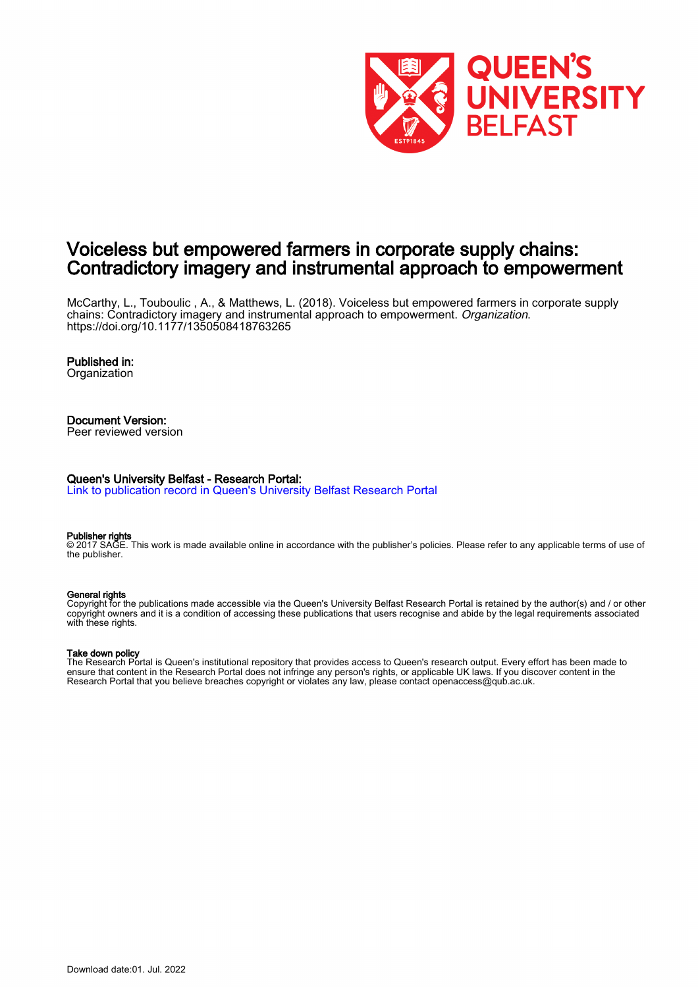

## Voiceless but empowered farmers in corporate supply chains: Contradictory imagery and instrumental approach to empowerment

McCarthy, L., Touboulic , A., & Matthews, L. (2018). Voiceless but empowered farmers in corporate supply chains: Contradictory imagery and instrumental approach to empowerment. Organization. <https://doi.org/10.1177/1350508418763265>

## Published in:

**Organization** 

## Document Version:

Peer reviewed version

#### Queen's University Belfast - Research Portal:

[Link to publication record in Queen's University Belfast Research Portal](https://pure.qub.ac.uk/en/publications/6aa131f4-9a0d-4fdf-97d5-eaead9811a0e)

#### Publisher rights

© 2017 SAGE. This work is made available online in accordance with the publisher's policies. Please refer to any applicable terms of use of the publisher.

#### General rights

Copyright for the publications made accessible via the Queen's University Belfast Research Portal is retained by the author(s) and / or other copyright owners and it is a condition of accessing these publications that users recognise and abide by the legal requirements associated with these rights.

#### Take down policy

The Research Portal is Queen's institutional repository that provides access to Queen's research output. Every effort has been made to ensure that content in the Research Portal does not infringe any person's rights, or applicable UK laws. If you discover content in the Research Portal that you believe breaches copyright or violates any law, please contact openaccess@qub.ac.uk.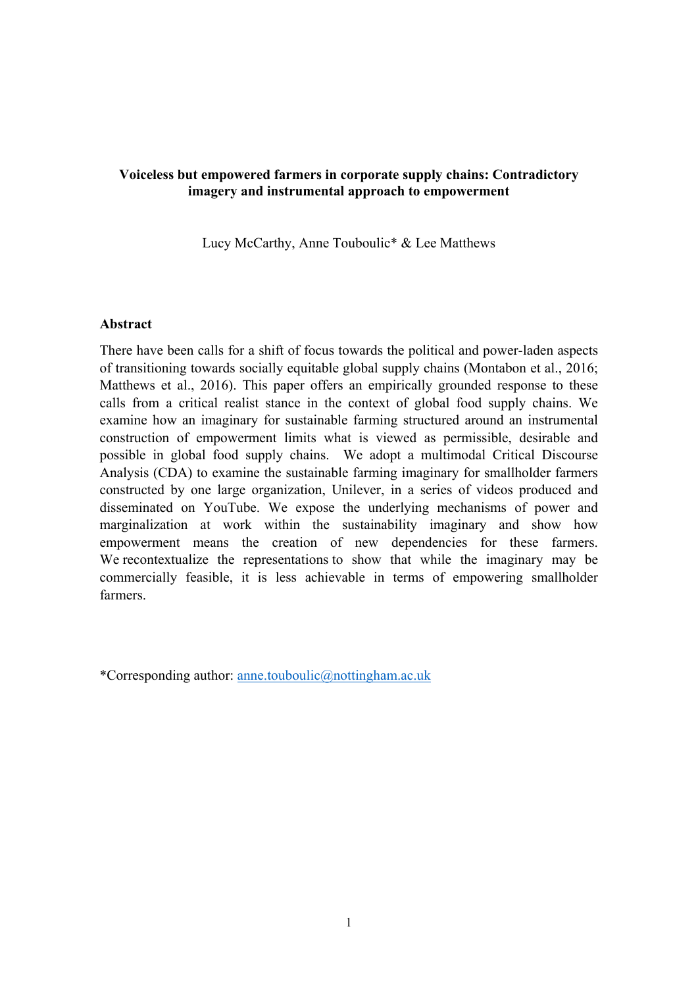## **Voiceless but empowered farmers in corporate supply chains: Contradictory imagery and instrumental approach to empowerment**

Lucy McCarthy, Anne Touboulic\* & Lee Matthews

## **Abstract**

There have been calls for a shift of focus towards the political and power-laden aspects of transitioning towards socially equitable global supply chains (Montabon et al., 2016; Matthews et al., 2016). This paper offers an empirically grounded response to these calls from a critical realist stance in the context of global food supply chains. We examine how an imaginary for sustainable farming structured around an instrumental construction of empowerment limits what is viewed as permissible, desirable and possible in global food supply chains. We adopt a multimodal Critical Discourse Analysis (CDA) to examine the sustainable farming imaginary for smallholder farmers constructed by one large organization, Unilever, in a series of videos produced and disseminated on YouTube. We expose the underlying mechanisms of power and marginalization at work within the sustainability imaginary and show how empowerment means the creation of new dependencies for these farmers. We recontextualize the representations to show that while the imaginary may be commercially feasible, it is less achievable in terms of empowering smallholder farmers.

\*Corresponding author: anne.touboulic@nottingham.ac.uk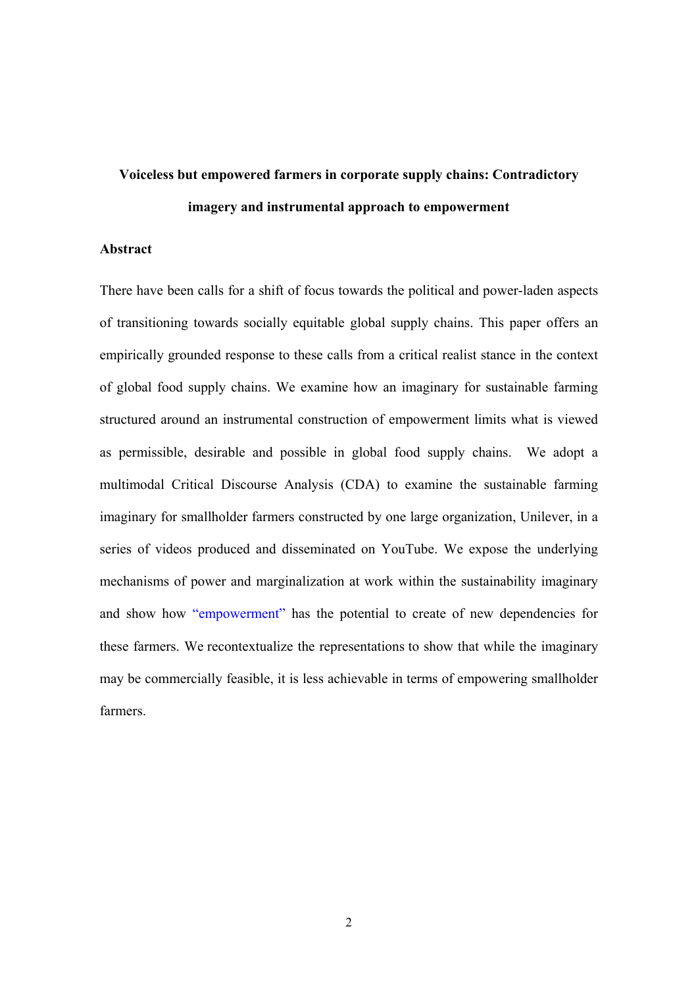# **Voiceless but empowered farmers in corporate supply chains: Contradictory imagery and instrumental approach to empowerment**

#### **Abstract**

There have been calls for a shift of focus towards the political and power-laden aspects of transitioning towards socially equitable global supply chains. This paper offers an empirically grounded response to these calls from a critical realist stance in the context of global food supply chains. We examine how an imaginary for sustainable farming structured around an instrumental construction of empowerment limits what is viewed as permissible, desirable and possible in global food supply chains. We adopt a multimodal Critical Discourse Analysis (CDA) to examine the sustainable farming imaginary for smallholder farmers constructed by one large organization, Unilever, in a series of videos produced and disseminated on YouTube. We expose the underlying mechanisms of power and marginalization at work within the sustainability imaginary and show how "empowerment" has the potential to create of new dependencies for these farmers. We recontextualize the representations to show that while the imaginary may be commercially feasible, it is less achievable in terms of empowering smallholder farmers.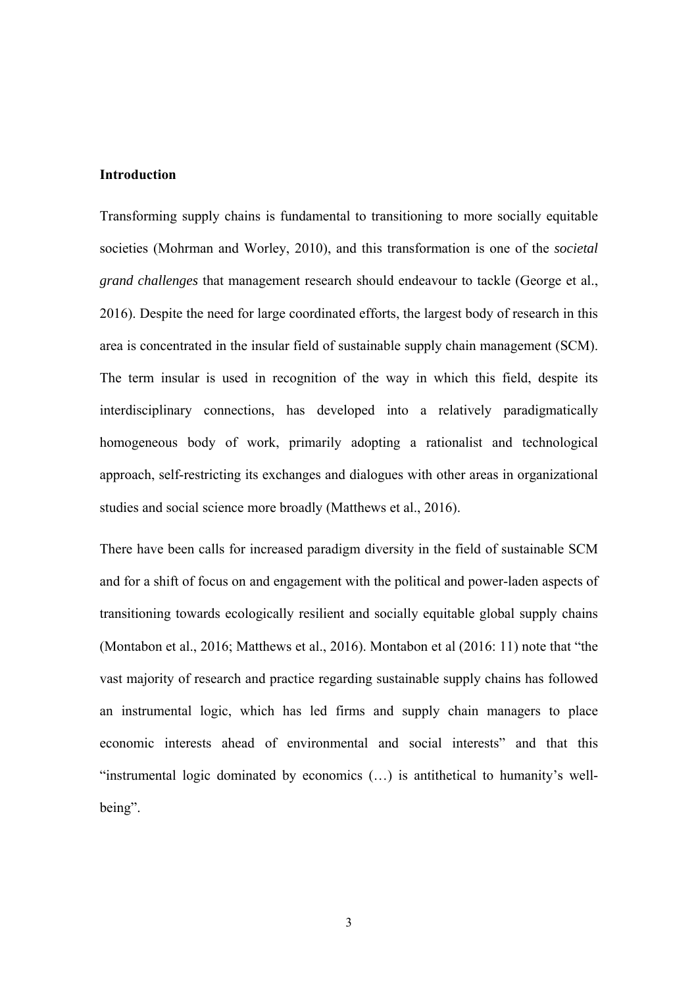#### **Introduction**

Transforming supply chains is fundamental to transitioning to more socially equitable societies (Mohrman and Worley, 2010), and this transformation is one of the *societal grand challenges* that management research should endeavour to tackle (George et al., 2016). Despite the need for large coordinated efforts, the largest body of research in this area is concentrated in the insular field of sustainable supply chain management (SCM). The term insular is used in recognition of the way in which this field, despite its interdisciplinary connections, has developed into a relatively paradigmatically homogeneous body of work, primarily adopting a rationalist and technological approach, self-restricting its exchanges and dialogues with other areas in organizational studies and social science more broadly (Matthews et al., 2016).

There have been calls for increased paradigm diversity in the field of sustainable SCM and for a shift of focus on and engagement with the political and power-laden aspects of transitioning towards ecologically resilient and socially equitable global supply chains (Montabon et al., 2016; Matthews et al., 2016). Montabon et al (2016: 11) note that "the vast majority of research and practice regarding sustainable supply chains has followed an instrumental logic, which has led firms and supply chain managers to place economic interests ahead of environmental and social interests" and that this "instrumental logic dominated by economics (…) is antithetical to humanity's wellbeing".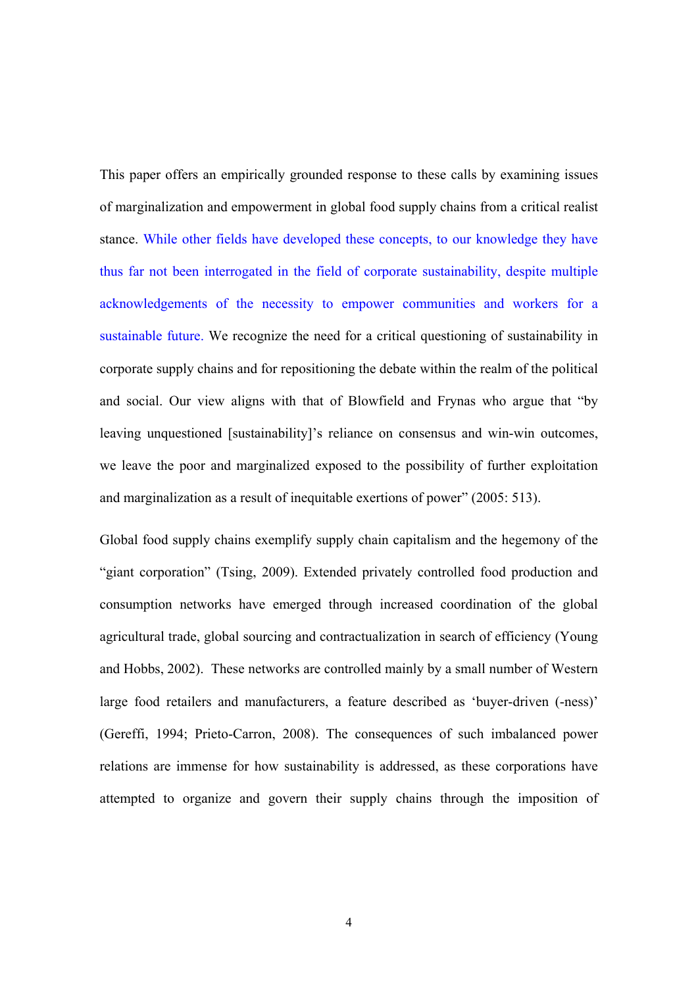This paper offers an empirically grounded response to these calls by examining issues of marginalization and empowerment in global food supply chains from a critical realist stance. While other fields have developed these concepts, to our knowledge they have thus far not been interrogated in the field of corporate sustainability, despite multiple acknowledgements of the necessity to empower communities and workers for a sustainable future. We recognize the need for a critical questioning of sustainability in corporate supply chains and for repositioning the debate within the realm of the political and social. Our view aligns with that of Blowfield and Frynas who argue that "by leaving unquestioned [sustainability]'s reliance on consensus and win-win outcomes, we leave the poor and marginalized exposed to the possibility of further exploitation and marginalization as a result of inequitable exertions of power" (2005: 513).

Global food supply chains exemplify supply chain capitalism and the hegemony of the "giant corporation" (Tsing, 2009). Extended privately controlled food production and consumption networks have emerged through increased coordination of the global agricultural trade, global sourcing and contractualization in search of efficiency (Young and Hobbs, 2002). These networks are controlled mainly by a small number of Western large food retailers and manufacturers, a feature described as 'buyer-driven (-ness)' (Gereffi, 1994; Prieto-Carron, 2008). The consequences of such imbalanced power relations are immense for how sustainability is addressed, as these corporations have attempted to organize and govern their supply chains through the imposition of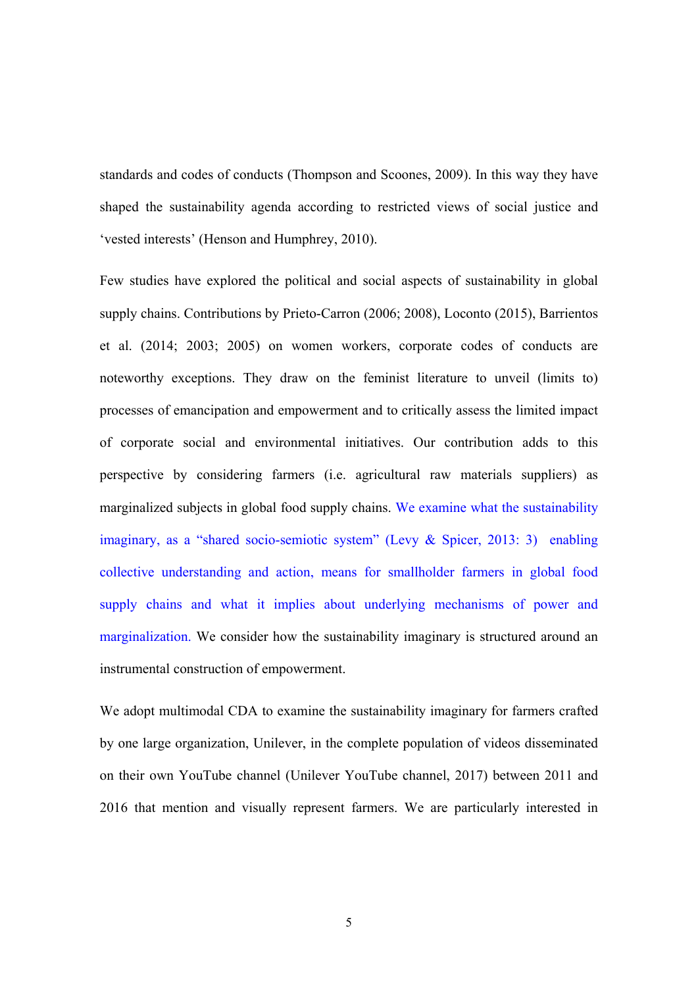standards and codes of conducts (Thompson and Scoones, 2009). In this way they have shaped the sustainability agenda according to restricted views of social justice and 'vested interests' (Henson and Humphrey, 2010).

Few studies have explored the political and social aspects of sustainability in global supply chains. Contributions by Prieto-Carron (2006; 2008), Loconto (2015), Barrientos et al. (2014; 2003; 2005) on women workers, corporate codes of conducts are noteworthy exceptions. They draw on the feminist literature to unveil (limits to) processes of emancipation and empowerment and to critically assess the limited impact of corporate social and environmental initiatives. Our contribution adds to this perspective by considering farmers (i.e. agricultural raw materials suppliers) as marginalized subjects in global food supply chains. We examine what the sustainability imaginary, as a "shared socio-semiotic system" (Levy & Spicer, 2013: 3) enabling collective understanding and action, means for smallholder farmers in global food supply chains and what it implies about underlying mechanisms of power and marginalization. We consider how the sustainability imaginary is structured around an instrumental construction of empowerment.

We adopt multimodal CDA to examine the sustainability imaginary for farmers crafted by one large organization, Unilever, in the complete population of videos disseminated on their own YouTube channel (Unilever YouTube channel, 2017) between 2011 and 2016 that mention and visually represent farmers. We are particularly interested in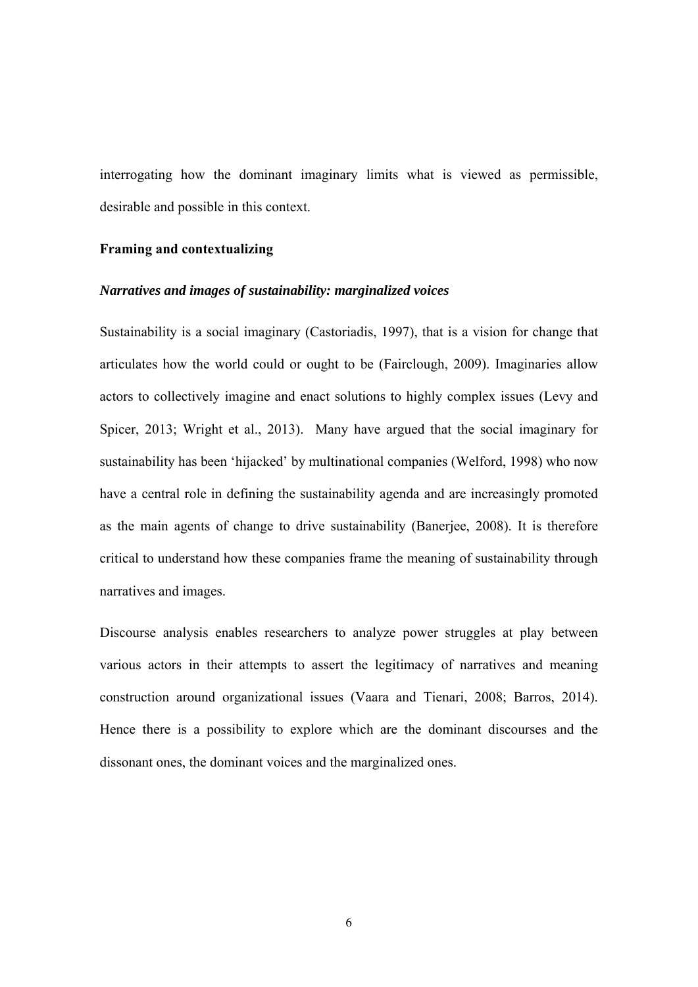interrogating how the dominant imaginary limits what is viewed as permissible, desirable and possible in this context.

#### **Framing and contextualizing**

## *Narratives and images of sustainability: marginalized voices*

Sustainability is a social imaginary (Castoriadis, 1997), that is a vision for change that articulates how the world could or ought to be (Fairclough, 2009). Imaginaries allow actors to collectively imagine and enact solutions to highly complex issues (Levy and Spicer, 2013; Wright et al., 2013). Many have argued that the social imaginary for sustainability has been 'hijacked' by multinational companies (Welford, 1998) who now have a central role in defining the sustainability agenda and are increasingly promoted as the main agents of change to drive sustainability (Banerjee, 2008). It is therefore critical to understand how these companies frame the meaning of sustainability through narratives and images.

Discourse analysis enables researchers to analyze power struggles at play between various actors in their attempts to assert the legitimacy of narratives and meaning construction around organizational issues (Vaara and Tienari, 2008; Barros, 2014). Hence there is a possibility to explore which are the dominant discourses and the dissonant ones, the dominant voices and the marginalized ones.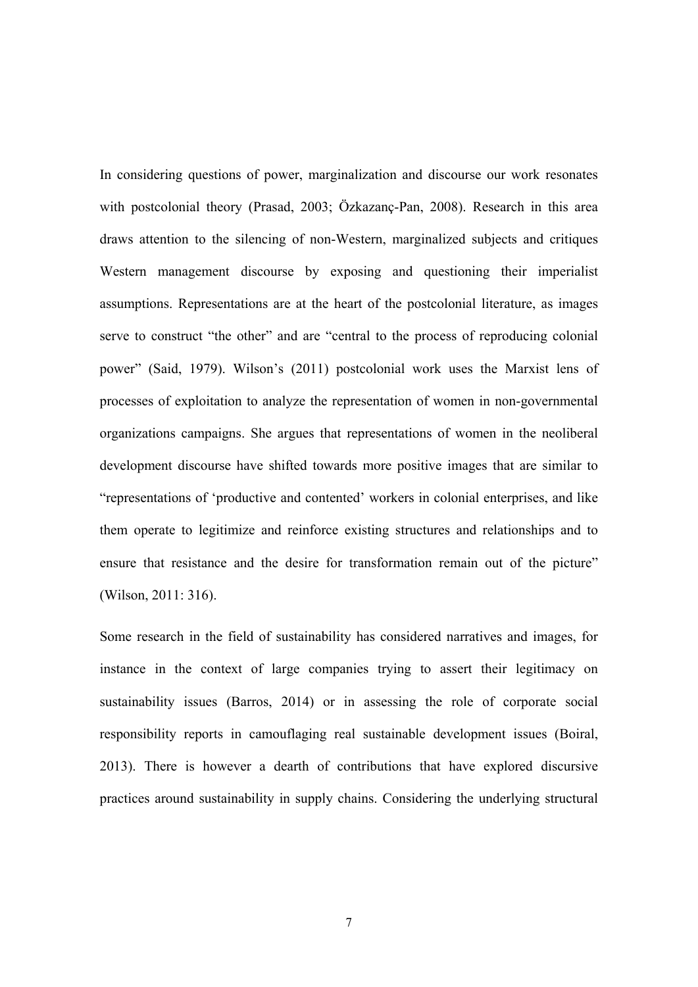In considering questions of power, marginalization and discourse our work resonates with postcolonial theory (Prasad, 2003; Özkazanç-Pan, 2008). Research in this area draws attention to the silencing of non-Western, marginalized subjects and critiques Western management discourse by exposing and questioning their imperialist assumptions. Representations are at the heart of the postcolonial literature, as images serve to construct "the other" and are "central to the process of reproducing colonial power" (Said, 1979). Wilson's (2011) postcolonial work uses the Marxist lens of processes of exploitation to analyze the representation of women in non-governmental organizations campaigns. She argues that representations of women in the neoliberal development discourse have shifted towards more positive images that are similar to "representations of 'productive and contented' workers in colonial enterprises, and like them operate to legitimize and reinforce existing structures and relationships and to ensure that resistance and the desire for transformation remain out of the picture" (Wilson, 2011: 316).

Some research in the field of sustainability has considered narratives and images, for instance in the context of large companies trying to assert their legitimacy on sustainability issues (Barros, 2014) or in assessing the role of corporate social responsibility reports in camouflaging real sustainable development issues (Boiral, 2013). There is however a dearth of contributions that have explored discursive practices around sustainability in supply chains. Considering the underlying structural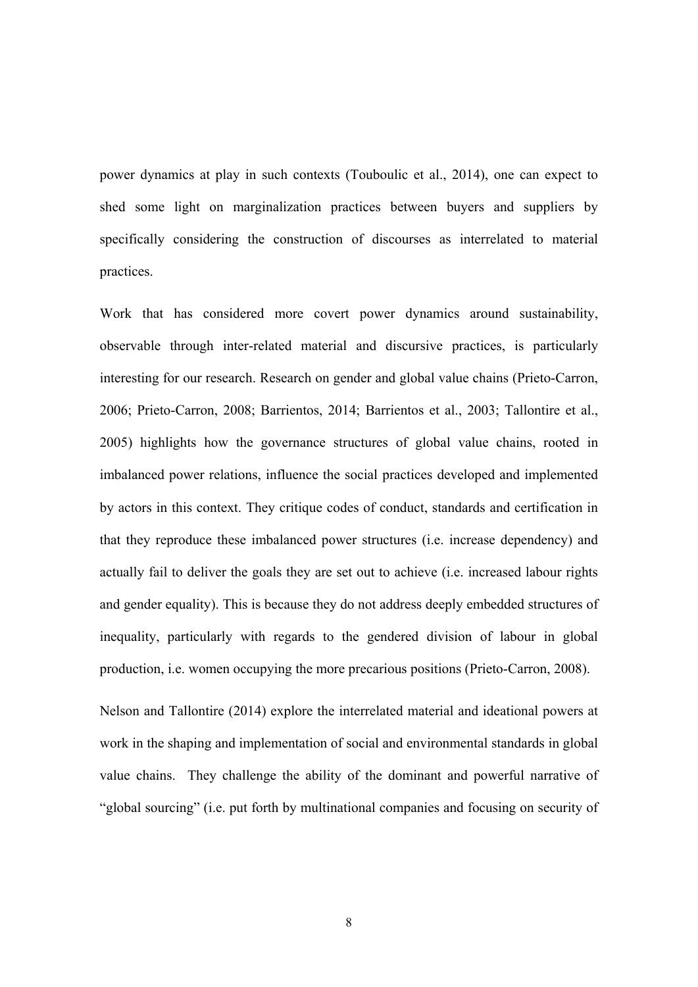power dynamics at play in such contexts (Touboulic et al., 2014), one can expect to shed some light on marginalization practices between buyers and suppliers by specifically considering the construction of discourses as interrelated to material practices.

Work that has considered more covert power dynamics around sustainability, observable through inter-related material and discursive practices, is particularly interesting for our research. Research on gender and global value chains (Prieto-Carron, 2006; Prieto-Carron, 2008; Barrientos, 2014; Barrientos et al., 2003; Tallontire et al., 2005) highlights how the governance structures of global value chains, rooted in imbalanced power relations, influence the social practices developed and implemented by actors in this context. They critique codes of conduct, standards and certification in that they reproduce these imbalanced power structures (i.e. increase dependency) and actually fail to deliver the goals they are set out to achieve (i.e. increased labour rights and gender equality). This is because they do not address deeply embedded structures of inequality, particularly with regards to the gendered division of labour in global production, i.e. women occupying the more precarious positions (Prieto-Carron, 2008).

Nelson and Tallontire (2014) explore the interrelated material and ideational powers at work in the shaping and implementation of social and environmental standards in global value chains. They challenge the ability of the dominant and powerful narrative of "global sourcing" (i.e. put forth by multinational companies and focusing on security of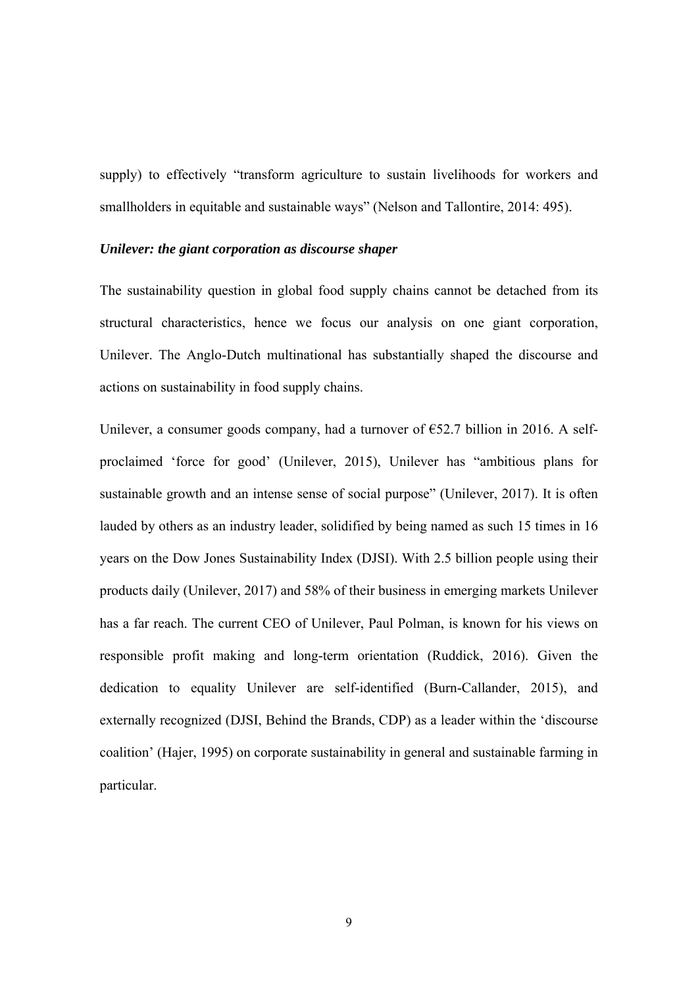supply) to effectively "transform agriculture to sustain livelihoods for workers and smallholders in equitable and sustainable ways" (Nelson and Tallontire, 2014: 495).

#### *Unilever: the giant corporation as discourse shaper*

The sustainability question in global food supply chains cannot be detached from its structural characteristics, hence we focus our analysis on one giant corporation, Unilever. The Anglo-Dutch multinational has substantially shaped the discourse and actions on sustainability in food supply chains.

Unilever, a consumer goods company, had a turnover of  $\epsilon$ 52.7 billion in 2016. A selfproclaimed 'force for good' (Unilever, 2015), Unilever has "ambitious plans for sustainable growth and an intense sense of social purpose" (Unilever, 2017). It is often lauded by others as an industry leader, solidified by being named as such 15 times in 16 years on the Dow Jones Sustainability Index (DJSI). With 2.5 billion people using their products daily (Unilever, 2017) and 58% of their business in emerging markets Unilever has a far reach. The current CEO of Unilever, Paul Polman, is known for his views on responsible profit making and long-term orientation (Ruddick, 2016). Given the dedication to equality Unilever are self-identified (Burn-Callander, 2015), and externally recognized (DJSI, Behind the Brands, CDP) as a leader within the 'discourse coalition' (Hajer, 1995) on corporate sustainability in general and sustainable farming in particular.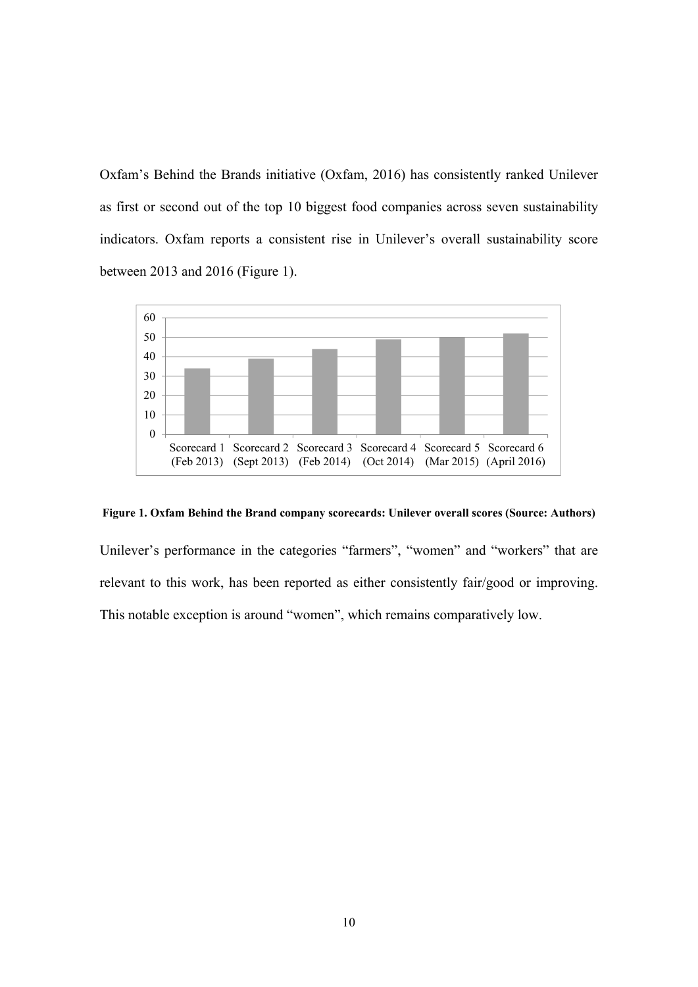Oxfam's Behind the Brands initiative (Oxfam, 2016) has consistently ranked Unilever as first or second out of the top 10 biggest food companies across seven sustainability indicators. Oxfam reports a consistent rise in Unilever's overall sustainability score between 2013 and 2016 (Figure 1).



#### **Figure 1. Oxfam Behind the Brand company scorecards: Unilever overall scores (Source: Authors)**

Unilever's performance in the categories "farmers", "women" and "workers" that are relevant to this work, has been reported as either consistently fair/good or improving. This notable exception is around "women", which remains comparatively low.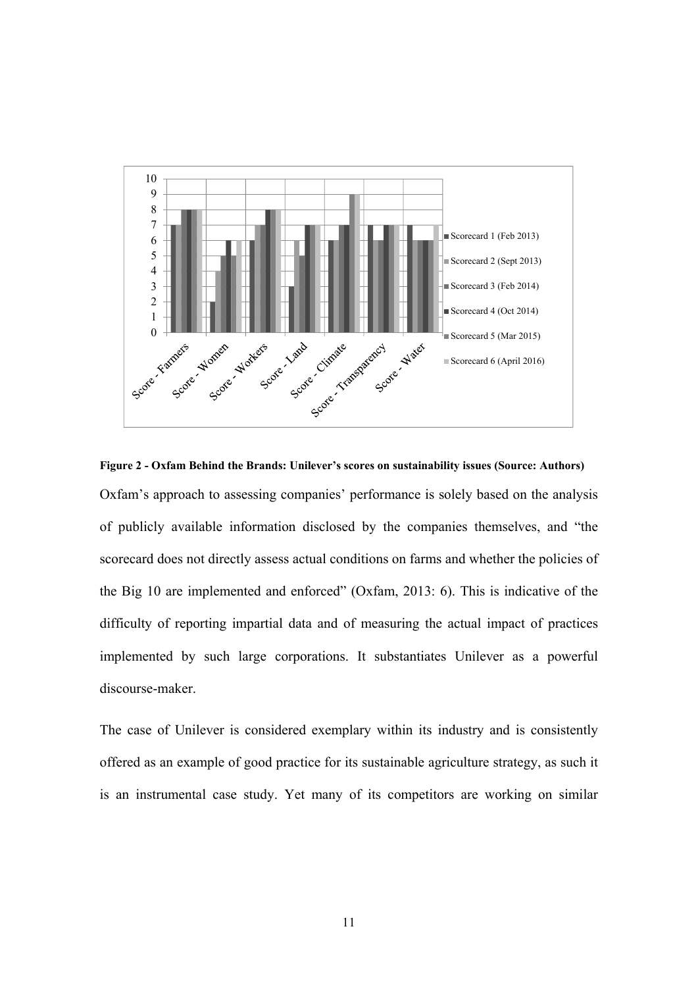

**Figure 2 - Oxfam Behind the Brands: Unilever's scores on sustainability issues (Source: Authors)**  Oxfam's approach to assessing companies' performance is solely based on the analysis of publicly available information disclosed by the companies themselves, and "the scorecard does not directly assess actual conditions on farms and whether the policies of the Big 10 are implemented and enforced" (Oxfam, 2013: 6). This is indicative of the difficulty of reporting impartial data and of measuring the actual impact of practices implemented by such large corporations. It substantiates Unilever as a powerful discourse-maker.

The case of Unilever is considered exemplary within its industry and is consistently offered as an example of good practice for its sustainable agriculture strategy, as such it is an instrumental case study. Yet many of its competitors are working on similar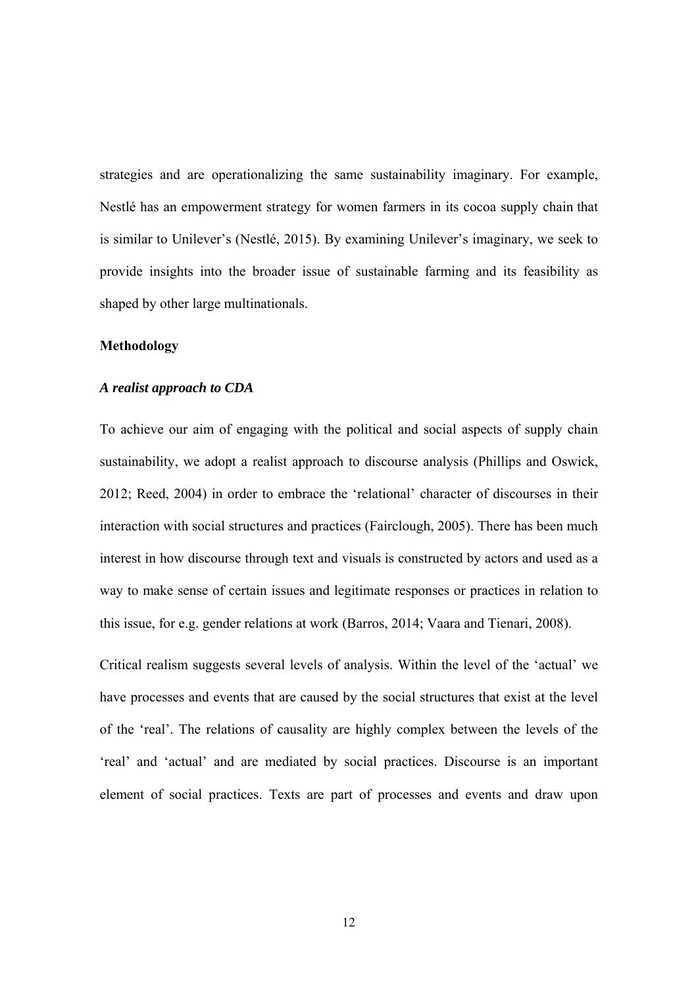strategies and are operationalizing the same sustainability imaginary. For example, Nestlé has an empowerment strategy for women farmers in its cocoa supply chain that is similar to Unilever's (Nestlé, 2015). By examining Unilever's imaginary, we seek to provide insights into the broader issue of sustainable farming and its feasibility as shaped by other large multinationals.

#### **Methodology**

#### *A realist approach to CDA*

To achieve our aim of engaging with the political and social aspects of supply chain sustainability, we adopt a realist approach to discourse analysis (Phillips and Oswick, 2012; Reed, 2004) in order to embrace the 'relational' character of discourses in their interaction with social structures and practices (Fairclough, 2005). There has been much interest in how discourse through text and visuals is constructed by actors and used as a way to make sense of certain issues and legitimate responses or practices in relation to this issue, for e.g. gender relations at work (Barros, 2014; Vaara and Tienari, 2008).

Critical realism suggests several levels of analysis. Within the level of the 'actual' we have processes and events that are caused by the social structures that exist at the level of the 'real'. The relations of causality are highly complex between the levels of the 'real' and 'actual' and are mediated by social practices. Discourse is an important element of social practices. Texts are part of processes and events and draw upon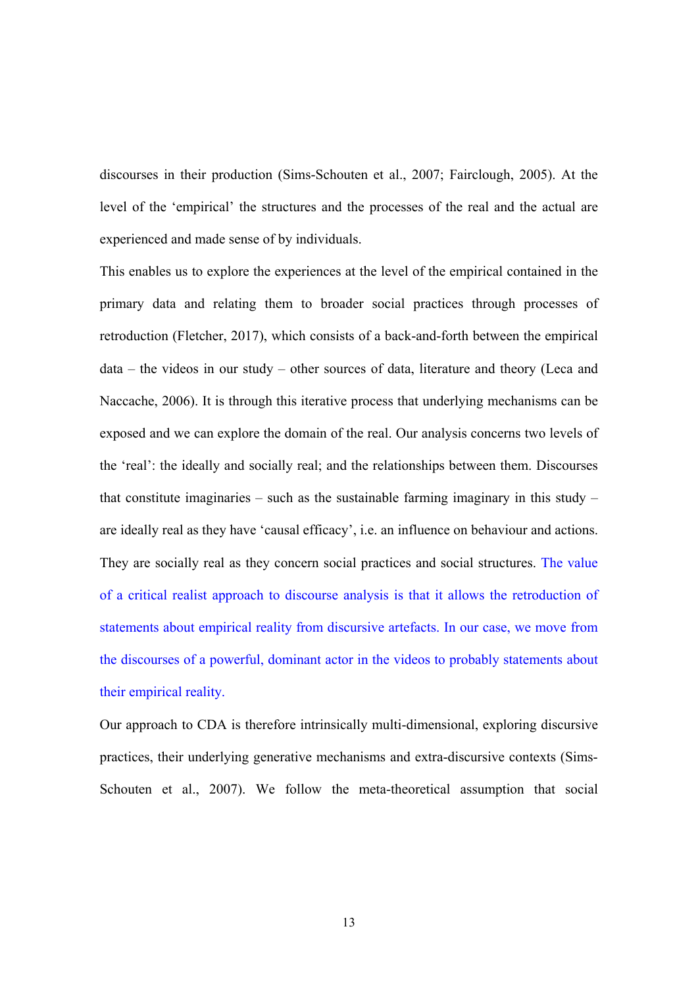discourses in their production (Sims-Schouten et al., 2007; Fairclough, 2005). At the level of the 'empirical' the structures and the processes of the real and the actual are experienced and made sense of by individuals.

This enables us to explore the experiences at the level of the empirical contained in the primary data and relating them to broader social practices through processes of retroduction (Fletcher, 2017), which consists of a back-and-forth between the empirical data – the videos in our study – other sources of data, literature and theory (Leca and Naccache, 2006). It is through this iterative process that underlying mechanisms can be exposed and we can explore the domain of the real. Our analysis concerns two levels of the 'real': the ideally and socially real; and the relationships between them. Discourses that constitute imaginaries – such as the sustainable farming imaginary in this study – are ideally real as they have 'causal efficacy', i.e. an influence on behaviour and actions. They are socially real as they concern social practices and social structures. The value of a critical realist approach to discourse analysis is that it allows the retroduction of statements about empirical reality from discursive artefacts. In our case, we move from the discourses of a powerful, dominant actor in the videos to probably statements about their empirical reality.

Our approach to CDA is therefore intrinsically multi-dimensional, exploring discursive practices, their underlying generative mechanisms and extra-discursive contexts (Sims-Schouten et al., 2007). We follow the meta-theoretical assumption that social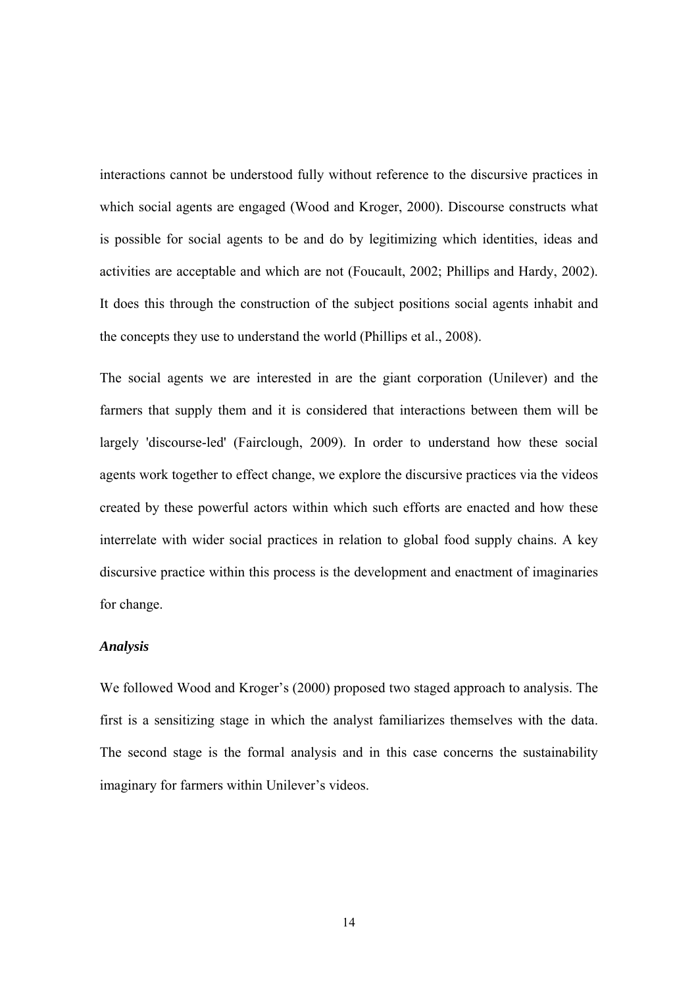interactions cannot be understood fully without reference to the discursive practices in which social agents are engaged (Wood and Kroger, 2000). Discourse constructs what is possible for social agents to be and do by legitimizing which identities, ideas and activities are acceptable and which are not (Foucault, 2002; Phillips and Hardy, 2002). It does this through the construction of the subject positions social agents inhabit and the concepts they use to understand the world (Phillips et al., 2008).

The social agents we are interested in are the giant corporation (Unilever) and the farmers that supply them and it is considered that interactions between them will be largely 'discourse-led' (Fairclough, 2009). In order to understand how these social agents work together to effect change, we explore the discursive practices via the videos created by these powerful actors within which such efforts are enacted and how these interrelate with wider social practices in relation to global food supply chains. A key discursive practice within this process is the development and enactment of imaginaries for change.

#### *Analysis*

We followed Wood and Kroger's (2000) proposed two staged approach to analysis. The first is a sensitizing stage in which the analyst familiarizes themselves with the data. The second stage is the formal analysis and in this case concerns the sustainability imaginary for farmers within Unilever's videos.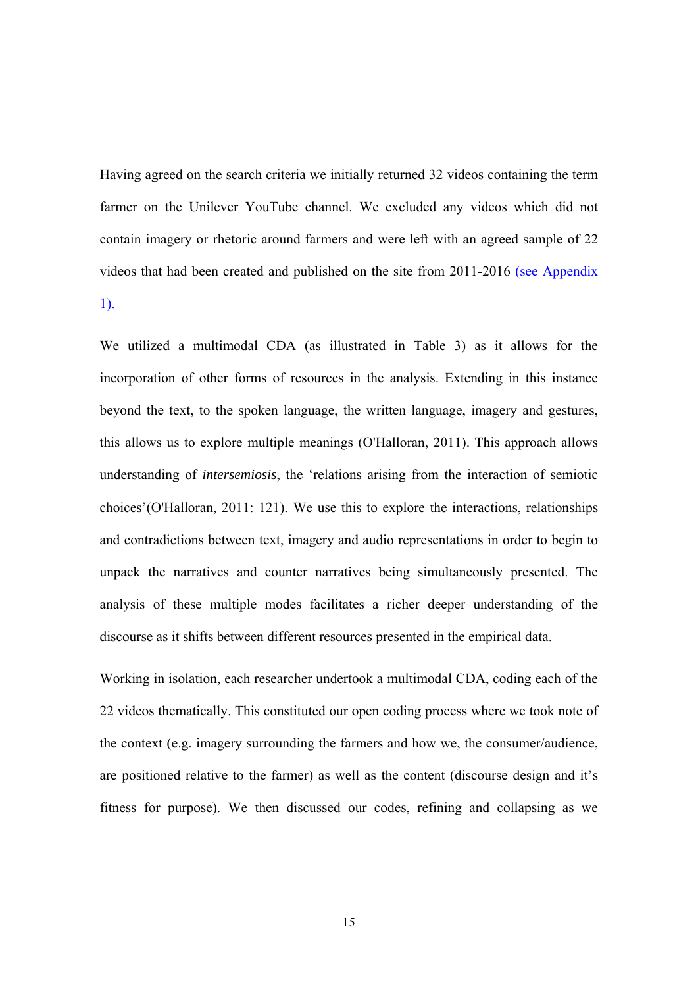Having agreed on the search criteria we initially returned 32 videos containing the term farmer on the Unilever YouTube channel. We excluded any videos which did not contain imagery or rhetoric around farmers and were left with an agreed sample of 22 videos that had been created and published on the site from 2011-2016 (see Appendix 1).

We utilized a multimodal CDA (as illustrated in Table 3) as it allows for the incorporation of other forms of resources in the analysis. Extending in this instance beyond the text, to the spoken language, the written language, imagery and gestures, this allows us to explore multiple meanings (O'Halloran, 2011). This approach allows understanding of *intersemiosis*, the 'relations arising from the interaction of semiotic choices'(O'Halloran, 2011: 121). We use this to explore the interactions, relationships and contradictions between text, imagery and audio representations in order to begin to unpack the narratives and counter narratives being simultaneously presented. The analysis of these multiple modes facilitates a richer deeper understanding of the discourse as it shifts between different resources presented in the empirical data.

Working in isolation, each researcher undertook a multimodal CDA, coding each of the 22 videos thematically. This constituted our open coding process where we took note of the context (e.g. imagery surrounding the farmers and how we, the consumer/audience, are positioned relative to the farmer) as well as the content (discourse design and it's fitness for purpose). We then discussed our codes, refining and collapsing as we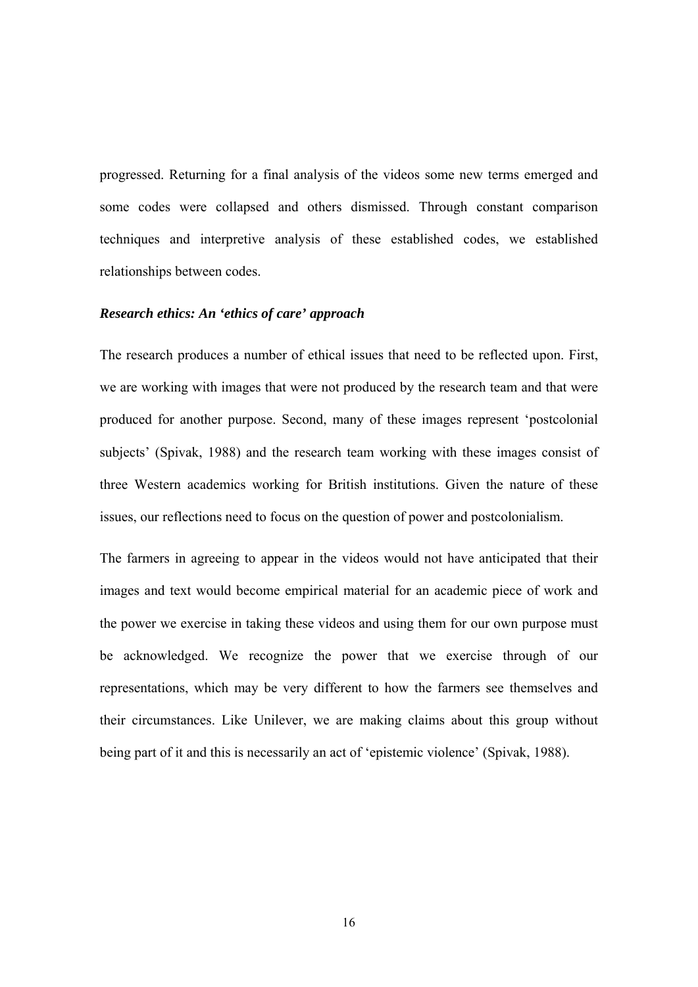progressed. Returning for a final analysis of the videos some new terms emerged and some codes were collapsed and others dismissed. Through constant comparison techniques and interpretive analysis of these established codes, we established relationships between codes.

#### *Research ethics: An 'ethics of care' approach*

The research produces a number of ethical issues that need to be reflected upon. First, we are working with images that were not produced by the research team and that were produced for another purpose. Second, many of these images represent 'postcolonial subjects' (Spivak, 1988) and the research team working with these images consist of three Western academics working for British institutions. Given the nature of these issues, our reflections need to focus on the question of power and postcolonialism.

The farmers in agreeing to appear in the videos would not have anticipated that their images and text would become empirical material for an academic piece of work and the power we exercise in taking these videos and using them for our own purpose must be acknowledged. We recognize the power that we exercise through of our representations, which may be very different to how the farmers see themselves and their circumstances. Like Unilever, we are making claims about this group without being part of it and this is necessarily an act of 'epistemic violence' (Spivak, 1988).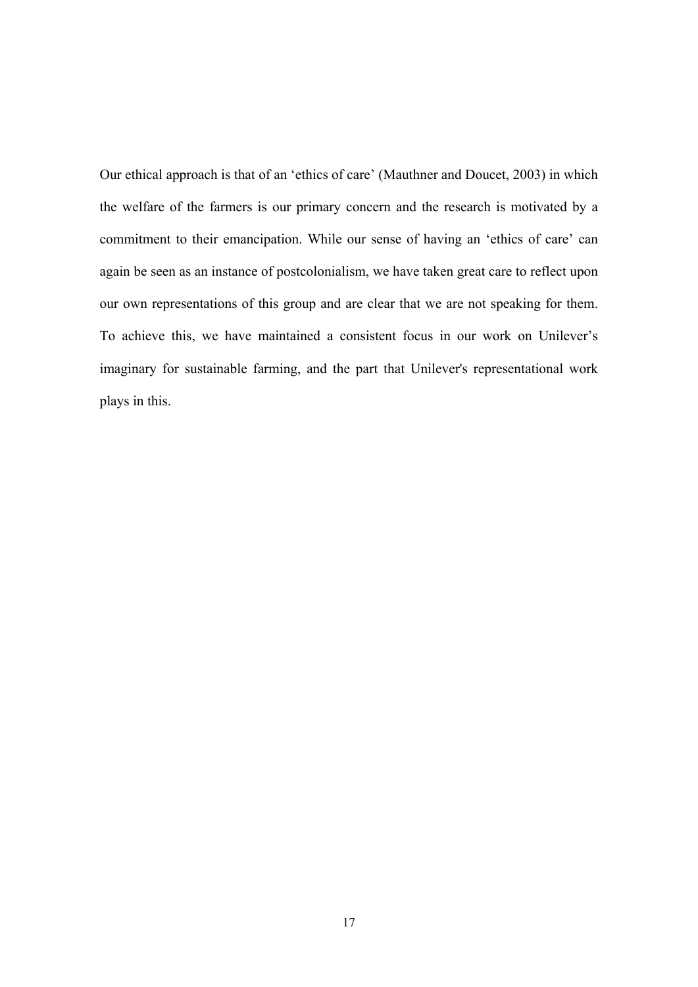Our ethical approach is that of an 'ethics of care' (Mauthner and Doucet, 2003) in which the welfare of the farmers is our primary concern and the research is motivated by a commitment to their emancipation. While our sense of having an 'ethics of care' can again be seen as an instance of postcolonialism, we have taken great care to reflect upon our own representations of this group and are clear that we are not speaking for them. To achieve this, we have maintained a consistent focus in our work on Unilever's imaginary for sustainable farming, and the part that Unilever's representational work plays in this.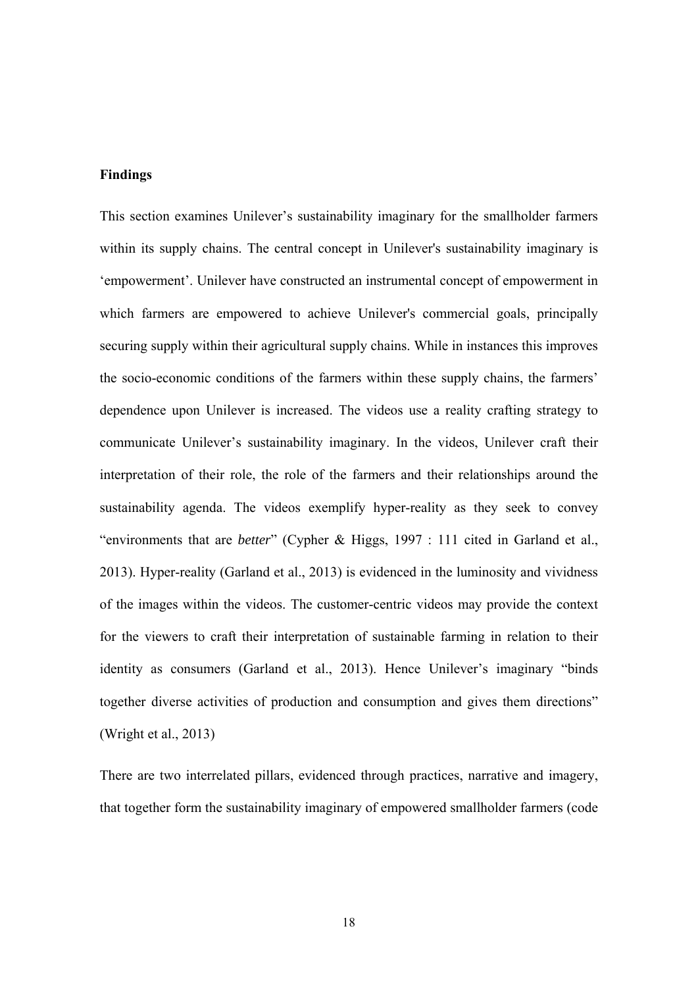#### **Findings**

This section examines Unilever's sustainability imaginary for the smallholder farmers within its supply chains. The central concept in Unilever's sustainability imaginary is 'empowerment'. Unilever have constructed an instrumental concept of empowerment in which farmers are empowered to achieve Unilever's commercial goals, principally securing supply within their agricultural supply chains. While in instances this improves the socio-economic conditions of the farmers within these supply chains, the farmers' dependence upon Unilever is increased. The videos use a reality crafting strategy to communicate Unilever's sustainability imaginary. In the videos, Unilever craft their interpretation of their role, the role of the farmers and their relationships around the sustainability agenda. The videos exemplify hyper-reality as they seek to convey "environments that are *better*" (Cypher & Higgs, 1997 : 111 cited in Garland et al., 2013). Hyper-reality (Garland et al., 2013) is evidenced in the luminosity and vividness of the images within the videos. The customer-centric videos may provide the context for the viewers to craft their interpretation of sustainable farming in relation to their identity as consumers (Garland et al., 2013). Hence Unilever's imaginary "binds together diverse activities of production and consumption and gives them directions" (Wright et al., 2013)

There are two interrelated pillars, evidenced through practices, narrative and imagery, that together form the sustainability imaginary of empowered smallholder farmers (code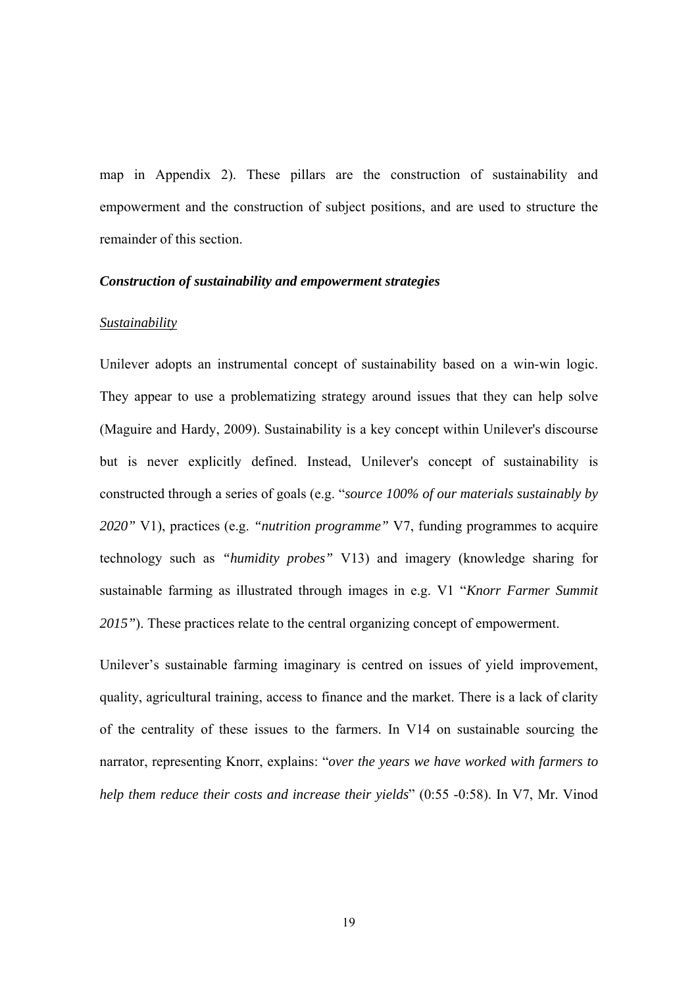map in Appendix 2). These pillars are the construction of sustainability and empowerment and the construction of subject positions, and are used to structure the remainder of this section.

#### *Construction of sustainability and empowerment strategies*

#### *Sustainability*

Unilever adopts an instrumental concept of sustainability based on a win-win logic. They appear to use a problematizing strategy around issues that they can help solve (Maguire and Hardy, 2009). Sustainability is a key concept within Unilever's discourse but is never explicitly defined. Instead, Unilever's concept of sustainability is constructed through a series of goals (e.g. "*source 100% of our materials sustainably by 2020"* V1), practices (e.g. *"nutrition programme"* V7, funding programmes to acquire technology such as *"humidity probes"* V13) and imagery (knowledge sharing for sustainable farming as illustrated through images in e.g. V1 "*Knorr Farmer Summit 2015"*). These practices relate to the central organizing concept of empowerment.

Unilever's sustainable farming imaginary is centred on issues of yield improvement, quality, agricultural training, access to finance and the market. There is a lack of clarity of the centrality of these issues to the farmers. In V14 on sustainable sourcing the narrator, representing Knorr, explains: "*over the years we have worked with farmers to help them reduce their costs and increase their yields*" (0:55 -0:58). In V7, Mr. Vinod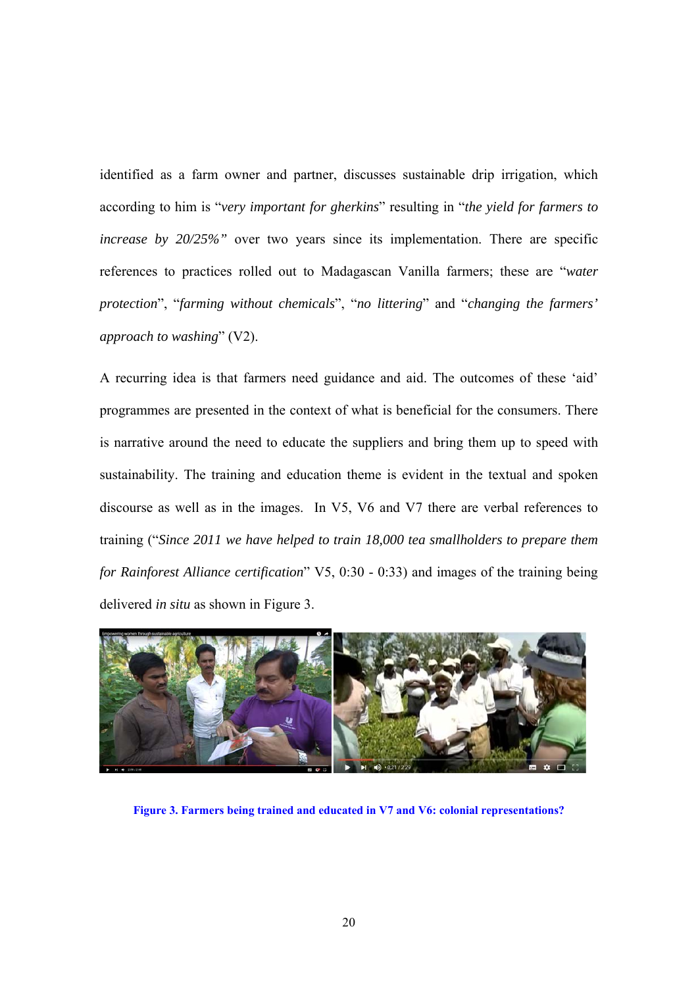identified as a farm owner and partner, discusses sustainable drip irrigation, which according to him is "*very important for gherkins*" resulting in "*the yield for farmers to increase by 20/25%"* over two years since its implementation. There are specific references to practices rolled out to Madagascan Vanilla farmers; these are "*water protection*", "*farming without chemicals*", "*no littering*" and "*changing the farmers' approach to washing*" (V2).

A recurring idea is that farmers need guidance and aid. The outcomes of these 'aid' programmes are presented in the context of what is beneficial for the consumers. There is narrative around the need to educate the suppliers and bring them up to speed with sustainability. The training and education theme is evident in the textual and spoken discourse as well as in the images. In V5, V6 and V7 there are verbal references to training ("*Since 2011 we have helped to train 18,000 tea smallholders to prepare them for Rainforest Alliance certification*" V5, 0:30 - 0:33) and images of the training being delivered *in situ* as shown in Figure 3.



**Figure 3. Farmers being trained and educated in V7 and V6: colonial representations?**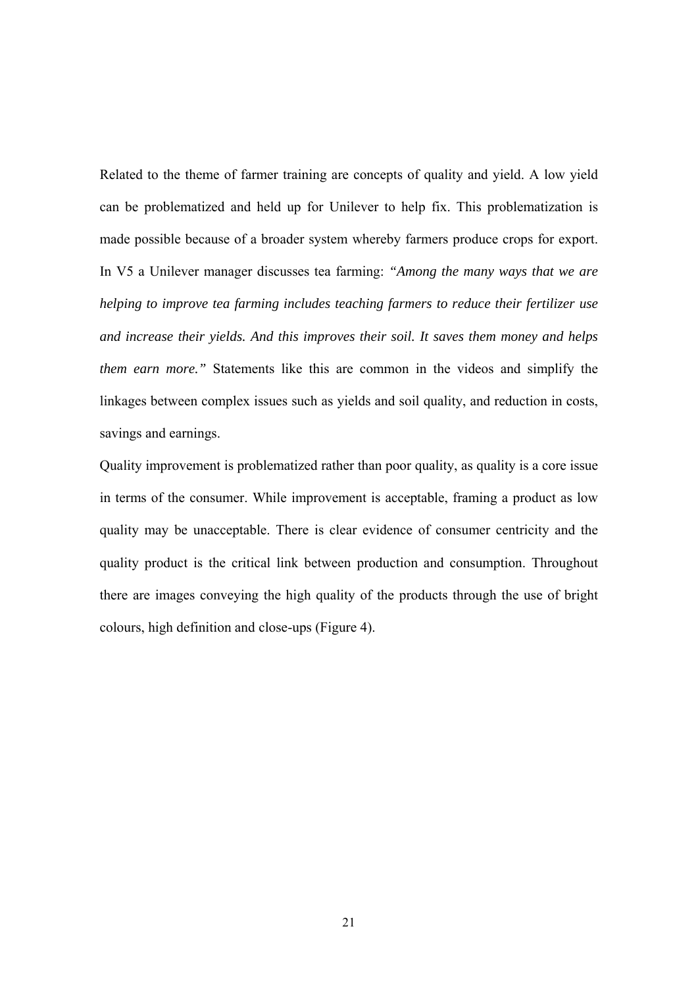Related to the theme of farmer training are concepts of quality and yield. A low yield can be problematized and held up for Unilever to help fix. This problematization is made possible because of a broader system whereby farmers produce crops for export. In V5 a Unilever manager discusses tea farming: *"Among the many ways that we are helping to improve tea farming includes teaching farmers to reduce their fertilizer use and increase their yields. And this improves their soil. It saves them money and helps them earn more."* Statements like this are common in the videos and simplify the linkages between complex issues such as yields and soil quality, and reduction in costs, savings and earnings.

Quality improvement is problematized rather than poor quality, as quality is a core issue in terms of the consumer. While improvement is acceptable, framing a product as low quality may be unacceptable. There is clear evidence of consumer centricity and the quality product is the critical link between production and consumption. Throughout there are images conveying the high quality of the products through the use of bright colours, high definition and close-ups (Figure 4).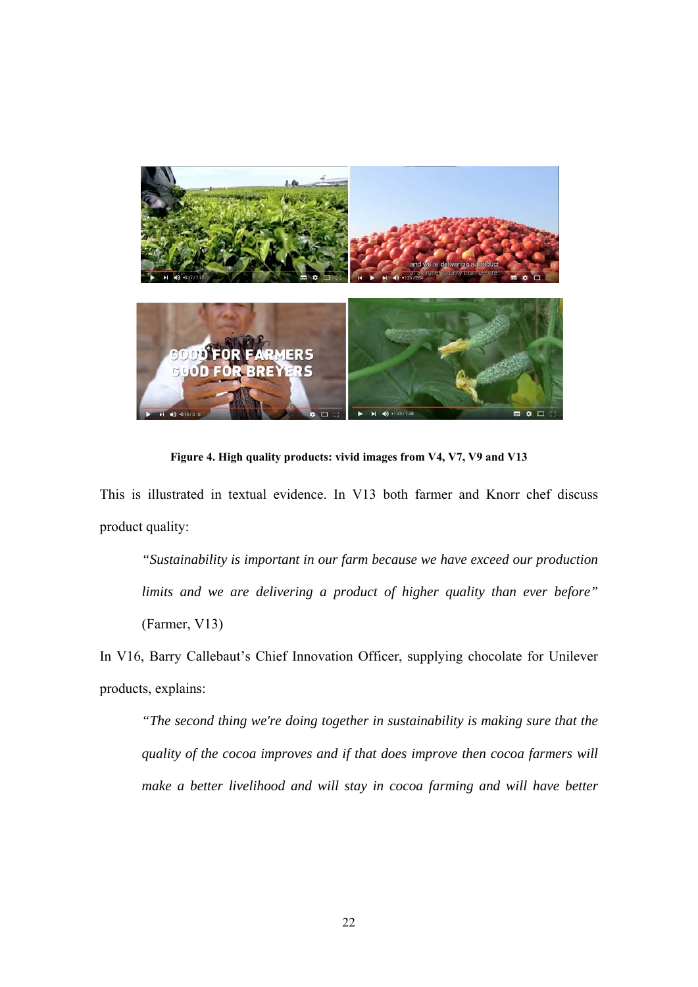

**Figure 4. High quality products: vivid images from V4, V7, V9 and V13** 

This is illustrated in textual evidence. In V13 both farmer and Knorr chef discuss product quality:

*"Sustainability is important in our farm because we have exceed our production limits and we are delivering a product of higher quality than ever before"* (Farmer, V13)

In V16, Barry Callebaut's Chief Innovation Officer, supplying chocolate for Unilever products, explains:

*"The second thing we're doing together in sustainability is making sure that the quality of the cocoa improves and if that does improve then cocoa farmers will make a better livelihood and will stay in cocoa farming and will have better*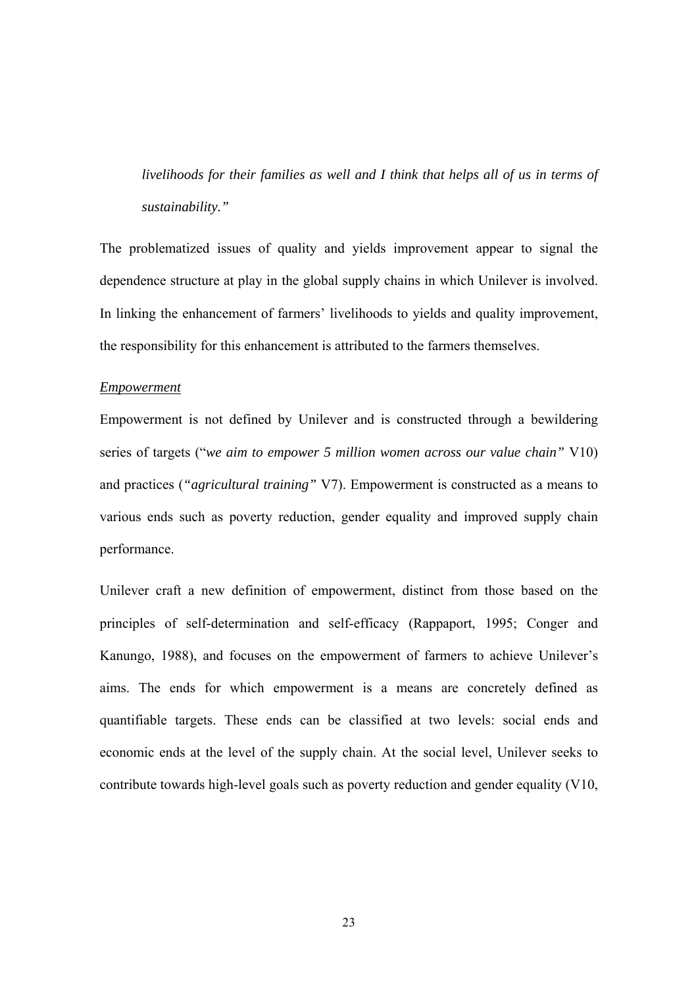*livelihoods for their families as well and I think that helps all of us in terms of sustainability."* 

The problematized issues of quality and yields improvement appear to signal the dependence structure at play in the global supply chains in which Unilever is involved. In linking the enhancement of farmers' livelihoods to yields and quality improvement, the responsibility for this enhancement is attributed to the farmers themselves.

#### *Empowerment*

Empowerment is not defined by Unilever and is constructed through a bewildering series of targets ("*we aim to empower 5 million women across our value chain"* V10) and practices (*"agricultural training"* V7). Empowerment is constructed as a means to various ends such as poverty reduction, gender equality and improved supply chain performance.

Unilever craft a new definition of empowerment, distinct from those based on the principles of self-determination and self-efficacy (Rappaport, 1995; Conger and Kanungo, 1988), and focuses on the empowerment of farmers to achieve Unilever's aims. The ends for which empowerment is a means are concretely defined as quantifiable targets. These ends can be classified at two levels: social ends and economic ends at the level of the supply chain. At the social level, Unilever seeks to contribute towards high-level goals such as poverty reduction and gender equality (V10,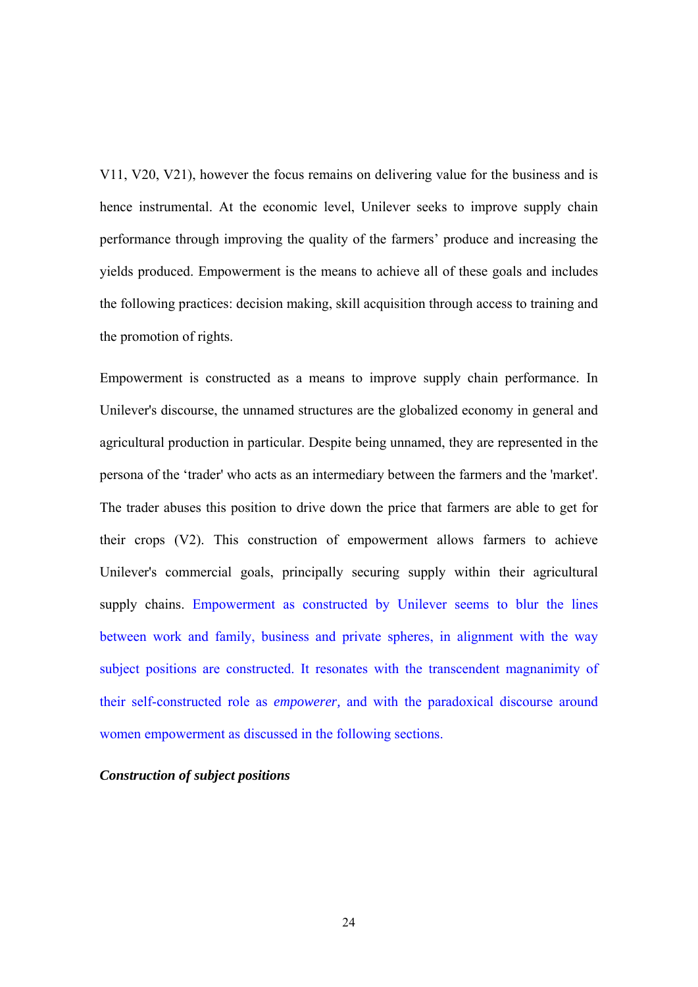V11, V20, V21), however the focus remains on delivering value for the business and is hence instrumental. At the economic level, Unilever seeks to improve supply chain performance through improving the quality of the farmers' produce and increasing the yields produced. Empowerment is the means to achieve all of these goals and includes the following practices: decision making, skill acquisition through access to training and the promotion of rights.

Empowerment is constructed as a means to improve supply chain performance. In Unilever's discourse, the unnamed structures are the globalized economy in general and agricultural production in particular. Despite being unnamed, they are represented in the persona of the 'trader' who acts as an intermediary between the farmers and the 'market'. The trader abuses this position to drive down the price that farmers are able to get for their crops (V2). This construction of empowerment allows farmers to achieve Unilever's commercial goals, principally securing supply within their agricultural supply chains. Empowerment as constructed by Unilever seems to blur the lines between work and family, business and private spheres, in alignment with the way subject positions are constructed. It resonates with the transcendent magnanimity of their self-constructed role as *empowerer,* and with the paradoxical discourse around women empowerment as discussed in the following sections.

## *Construction of subject positions*

 $24$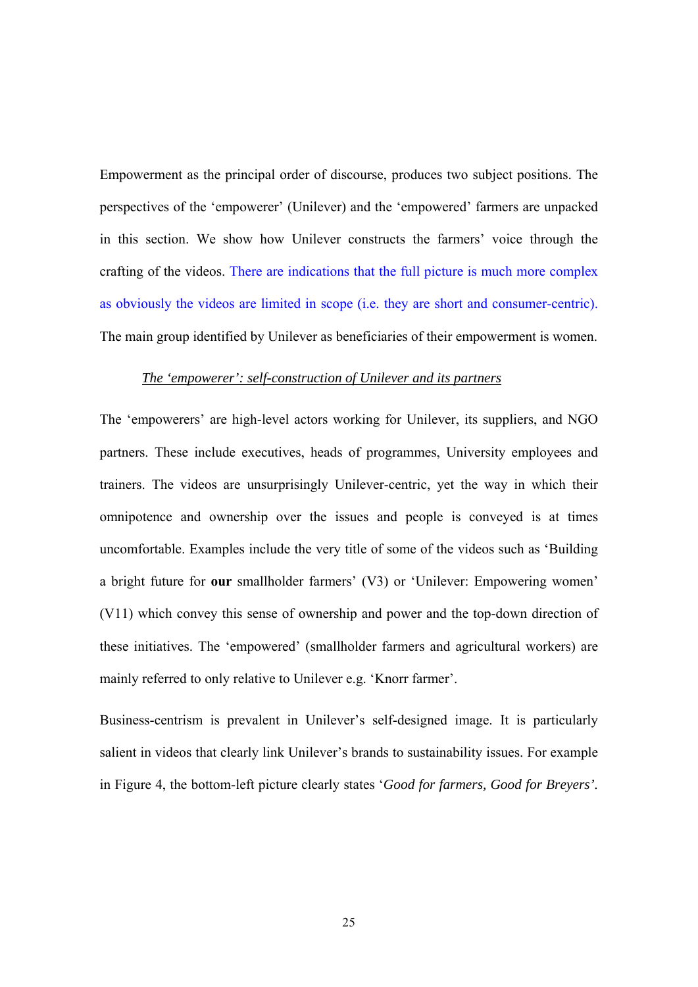Empowerment as the principal order of discourse, produces two subject positions. The perspectives of the 'empowerer' (Unilever) and the 'empowered' farmers are unpacked in this section. We show how Unilever constructs the farmers' voice through the crafting of the videos. There are indications that the full picture is much more complex as obviously the videos are limited in scope (i.e. they are short and consumer-centric). The main group identified by Unilever as beneficiaries of their empowerment is women.

## *The 'empowerer': self-construction of Unilever and its partners*

The 'empowerers' are high-level actors working for Unilever, its suppliers, and NGO partners. These include executives, heads of programmes, University employees and trainers. The videos are unsurprisingly Unilever-centric, yet the way in which their omnipotence and ownership over the issues and people is conveyed is at times uncomfortable. Examples include the very title of some of the videos such as 'Building a bright future for **our** smallholder farmers' (V3) or 'Unilever: Empowering women' (V11) which convey this sense of ownership and power and the top-down direction of these initiatives. The 'empowered' (smallholder farmers and agricultural workers) are mainly referred to only relative to Unilever e.g. 'Knorr farmer'.

Business-centrism is prevalent in Unilever's self-designed image. It is particularly salient in videos that clearly link Unilever's brands to sustainability issues. For example in Figure 4, the bottom-left picture clearly states '*Good for farmers, Good for Breyers'.*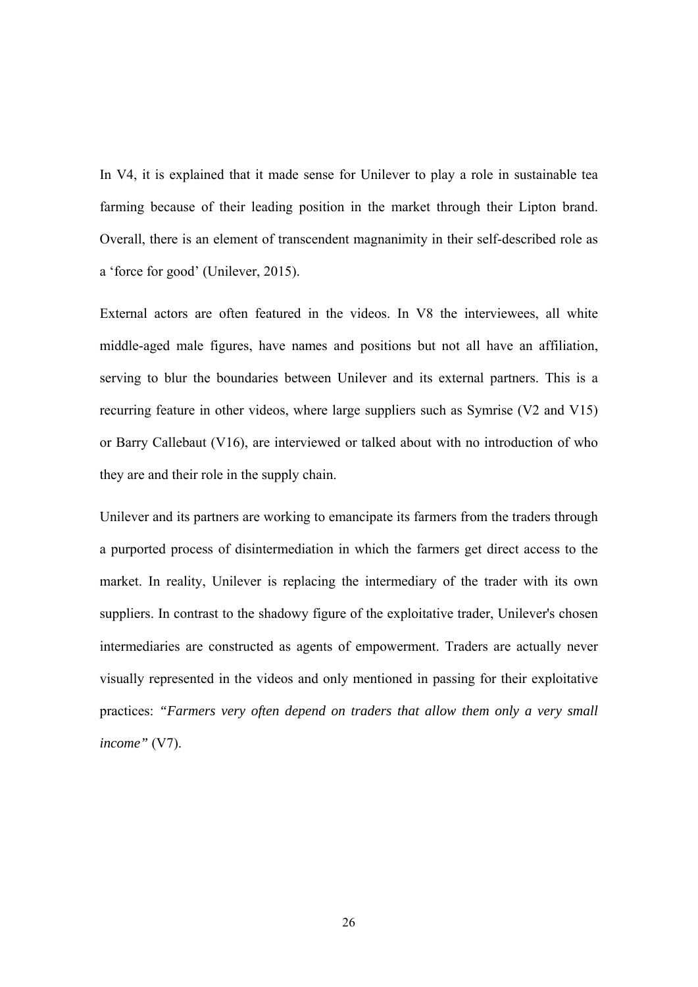In V4, it is explained that it made sense for Unilever to play a role in sustainable tea farming because of their leading position in the market through their Lipton brand. Overall, there is an element of transcendent magnanimity in their self-described role as a 'force for good' (Unilever, 2015).

External actors are often featured in the videos. In V8 the interviewees, all white middle-aged male figures, have names and positions but not all have an affiliation, serving to blur the boundaries between Unilever and its external partners. This is a recurring feature in other videos, where large suppliers such as Symrise (V2 and V15) or Barry Callebaut (V16), are interviewed or talked about with no introduction of who they are and their role in the supply chain.

Unilever and its partners are working to emancipate its farmers from the traders through a purported process of disintermediation in which the farmers get direct access to the market. In reality, Unilever is replacing the intermediary of the trader with its own suppliers. In contrast to the shadowy figure of the exploitative trader, Unilever's chosen intermediaries are constructed as agents of empowerment. Traders are actually never visually represented in the videos and only mentioned in passing for their exploitative practices: *"Farmers very often depend on traders that allow them only a very small income"* (V7).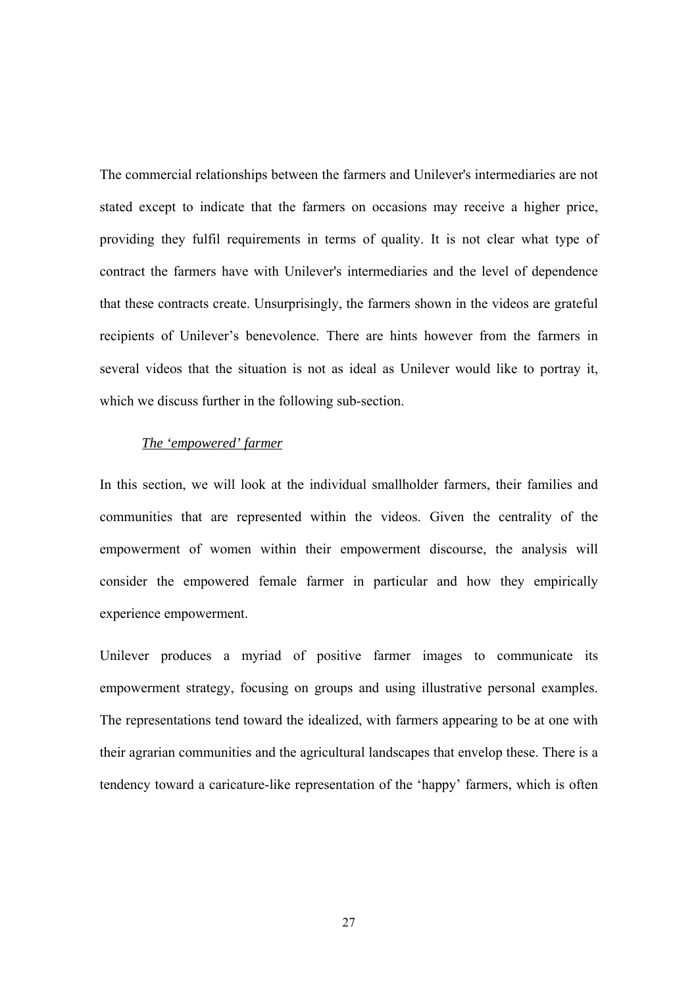The commercial relationships between the farmers and Unilever's intermediaries are not stated except to indicate that the farmers on occasions may receive a higher price, providing they fulfil requirements in terms of quality. It is not clear what type of contract the farmers have with Unilever's intermediaries and the level of dependence that these contracts create. Unsurprisingly, the farmers shown in the videos are grateful recipients of Unilever's benevolence. There are hints however from the farmers in several videos that the situation is not as ideal as Unilever would like to portray it, which we discuss further in the following sub-section.

## *The 'empowered' farmer*

In this section, we will look at the individual smallholder farmers, their families and communities that are represented within the videos. Given the centrality of the empowerment of women within their empowerment discourse, the analysis will consider the empowered female farmer in particular and how they empirically experience empowerment.

Unilever produces a myriad of positive farmer images to communicate its empowerment strategy, focusing on groups and using illustrative personal examples. The representations tend toward the idealized, with farmers appearing to be at one with their agrarian communities and the agricultural landscapes that envelop these. There is a tendency toward a caricature-like representation of the 'happy' farmers, which is often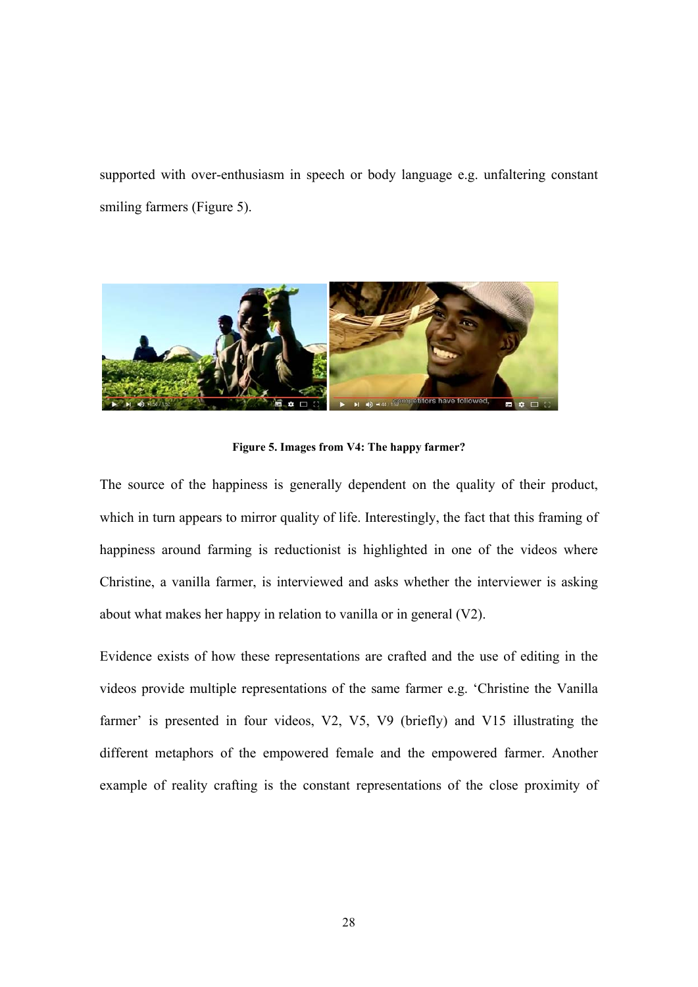supported with over-enthusiasm in speech or body language e.g. unfaltering constant smiling farmers (Figure 5).



**Figure 5. Images from V4: The happy farmer?** 

The source of the happiness is generally dependent on the quality of their product, which in turn appears to mirror quality of life. Interestingly, the fact that this framing of happiness around farming is reductionist is highlighted in one of the videos where Christine, a vanilla farmer, is interviewed and asks whether the interviewer is asking about what makes her happy in relation to vanilla or in general (V2).

Evidence exists of how these representations are crafted and the use of editing in the videos provide multiple representations of the same farmer e.g. 'Christine the Vanilla farmer' is presented in four videos, V2, V5, V9 (briefly) and V15 illustrating the different metaphors of the empowered female and the empowered farmer. Another example of reality crafting is the constant representations of the close proximity of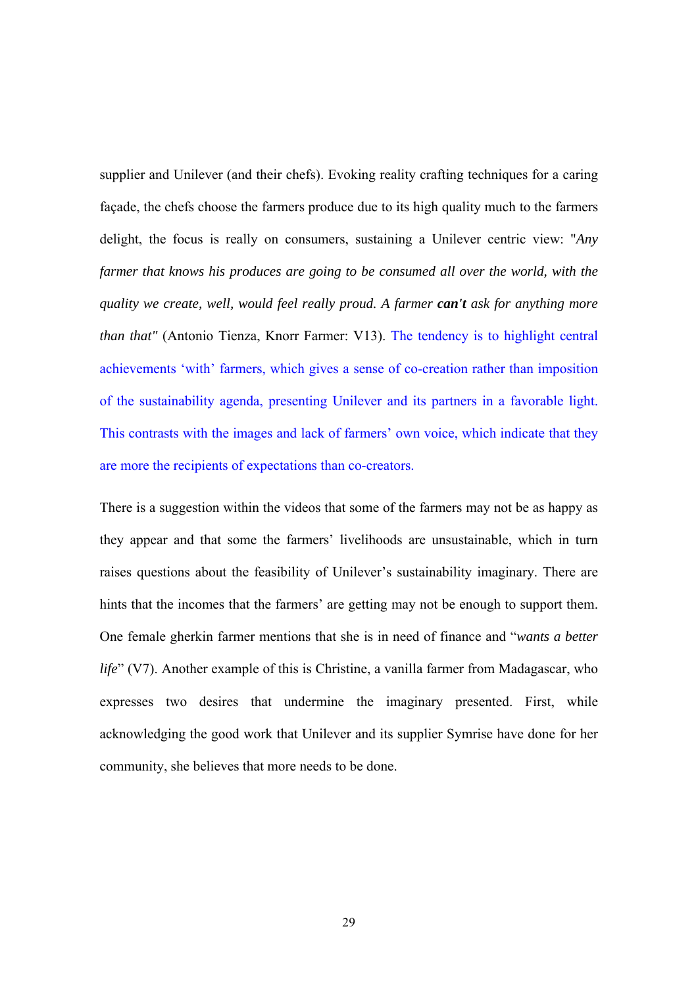supplier and Unilever (and their chefs). Evoking reality crafting techniques for a caring façade, the chefs choose the farmers produce due to its high quality much to the farmers delight, the focus is really on consumers, sustaining a Unilever centric view: "*Any farmer that knows his produces are going to be consumed all over the world, with the quality we create, well, would feel really proud. A farmer can't ask for anything more than that"* (Antonio Tienza, Knorr Farmer: V13). The tendency is to highlight central achievements 'with' farmers, which gives a sense of co-creation rather than imposition of the sustainability agenda, presenting Unilever and its partners in a favorable light. This contrasts with the images and lack of farmers' own voice, which indicate that they are more the recipients of expectations than co-creators.

There is a suggestion within the videos that some of the farmers may not be as happy as they appear and that some the farmers' livelihoods are unsustainable, which in turn raises questions about the feasibility of Unilever's sustainability imaginary. There are hints that the incomes that the farmers' are getting may not be enough to support them. One female gherkin farmer mentions that she is in need of finance and "*wants a better life*" (V7). Another example of this is Christine, a vanilla farmer from Madagascar, who expresses two desires that undermine the imaginary presented. First, while acknowledging the good work that Unilever and its supplier Symrise have done for her community, she believes that more needs to be done.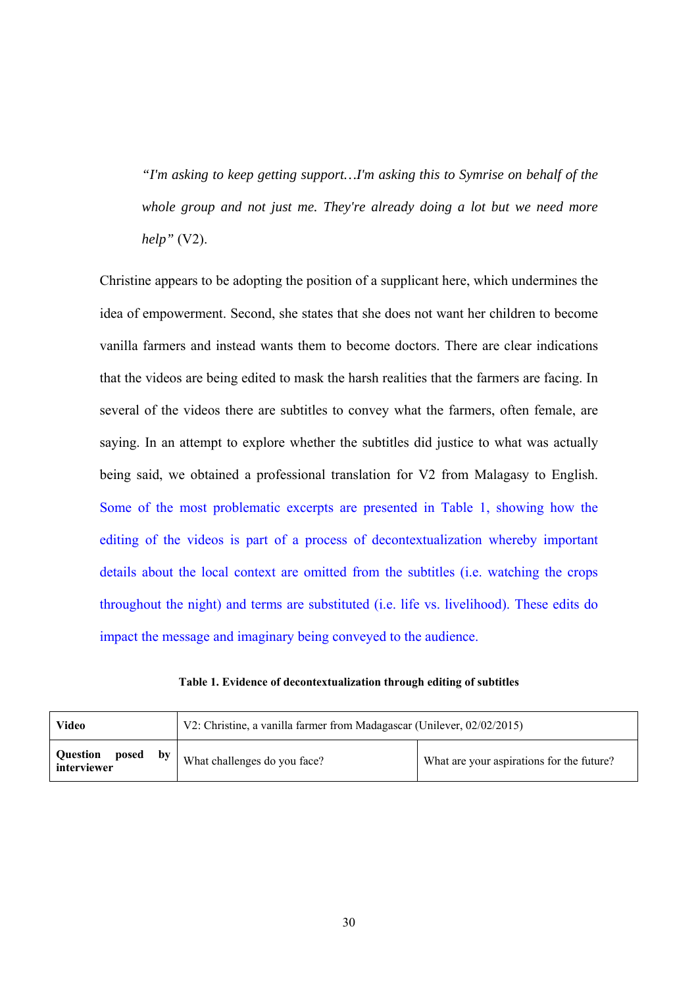*"I'm asking to keep getting support…I'm asking this to Symrise on behalf of the whole group and not just me. They're already doing a lot but we need more help"* (V2).

Christine appears to be adopting the position of a supplicant here, which undermines the idea of empowerment. Second, she states that she does not want her children to become vanilla farmers and instead wants them to become doctors. There are clear indications that the videos are being edited to mask the harsh realities that the farmers are facing. In several of the videos there are subtitles to convey what the farmers, often female, are saying. In an attempt to explore whether the subtitles did justice to what was actually being said, we obtained a professional translation for V2 from Malagasy to English. Some of the most problematic excerpts are presented in Table 1, showing how the editing of the videos is part of a process of decontextualization whereby important details about the local context are omitted from the subtitles (i.e. watching the crops throughout the night) and terms are substituted (i.e. life vs. livelihood). These edits do impact the message and imaginary being conveyed to the audience.

|  | Table 1. Evidence of decontextualization through editing of subtitles |  |  |  |
|--|-----------------------------------------------------------------------|--|--|--|
|  |                                                                       |  |  |  |

| V2: Christine, a vanilla farmer from Madagascar (Unilever, 02/02/2015)<br>Video |                              |                                           |  |
|---------------------------------------------------------------------------------|------------------------------|-------------------------------------------|--|
| Question posed<br>bv<br>interviewer                                             | What challenges do you face? | What are your aspirations for the future? |  |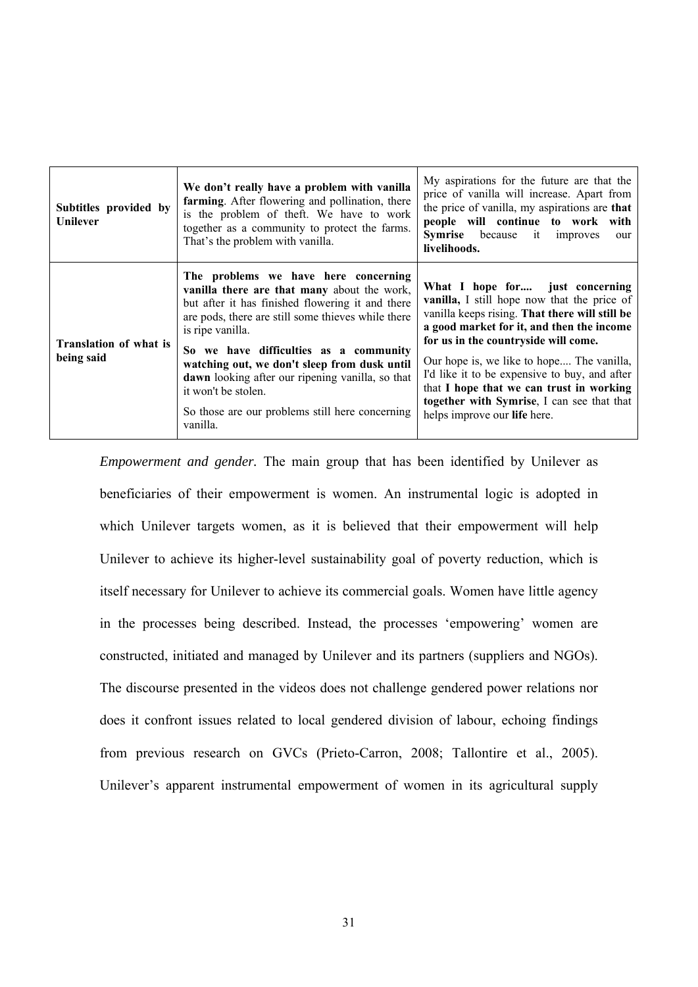| Subtitles provided by<br><b>Unilever</b>    | We don't really have a problem with vanilla<br>farming. After flowering and pollination, there<br>is the problem of theft. We have to work<br>together as a community to protect the farms.<br>That's the problem with vanilla.                                                                                                                                                                                                                       | My aspirations for the future are that the<br>price of vanilla will increase. Apart from<br>the price of vanilla, my aspirations are that<br>people will continue to work with<br><b>Symrise</b> because it improves<br>our<br>livelihoods.                                                                                                                                                                                                   |
|---------------------------------------------|-------------------------------------------------------------------------------------------------------------------------------------------------------------------------------------------------------------------------------------------------------------------------------------------------------------------------------------------------------------------------------------------------------------------------------------------------------|-----------------------------------------------------------------------------------------------------------------------------------------------------------------------------------------------------------------------------------------------------------------------------------------------------------------------------------------------------------------------------------------------------------------------------------------------|
| <b>Translation of what is</b><br>being said | The problems we have here concerning<br>vanilla there are that many about the work,<br>but after it has finished flowering it and there<br>are pods, there are still some thieves while there<br>is ripe vanilla.<br>So we have difficulties as a community<br>watching out, we don't sleep from dusk until<br>dawn looking after our ripening vanilla, so that<br>it won't be stolen.<br>So those are our problems still here concerning<br>vanilla. | What I hope for just concerning<br>vanilla, I still hope now that the price of<br>vanilla keeps rising. That there will still be<br>a good market for it, and then the income<br>for us in the countryside will come.<br>Our hope is, we like to hope The vanilla,<br>I'd like it to be expensive to buy, and after<br>that I hope that we can trust in working<br>together with Symrise, I can see that that<br>helps improve our life here. |

*Empowerment and gender.* The main group that has been identified by Unilever as beneficiaries of their empowerment is women. An instrumental logic is adopted in which Unilever targets women, as it is believed that their empowerment will help Unilever to achieve its higher-level sustainability goal of poverty reduction, which is itself necessary for Unilever to achieve its commercial goals. Women have little agency in the processes being described. Instead, the processes 'empowering' women are constructed, initiated and managed by Unilever and its partners (suppliers and NGOs). The discourse presented in the videos does not challenge gendered power relations nor does it confront issues related to local gendered division of labour, echoing findings from previous research on GVCs (Prieto-Carron, 2008; Tallontire et al., 2005). Unilever's apparent instrumental empowerment of women in its agricultural supply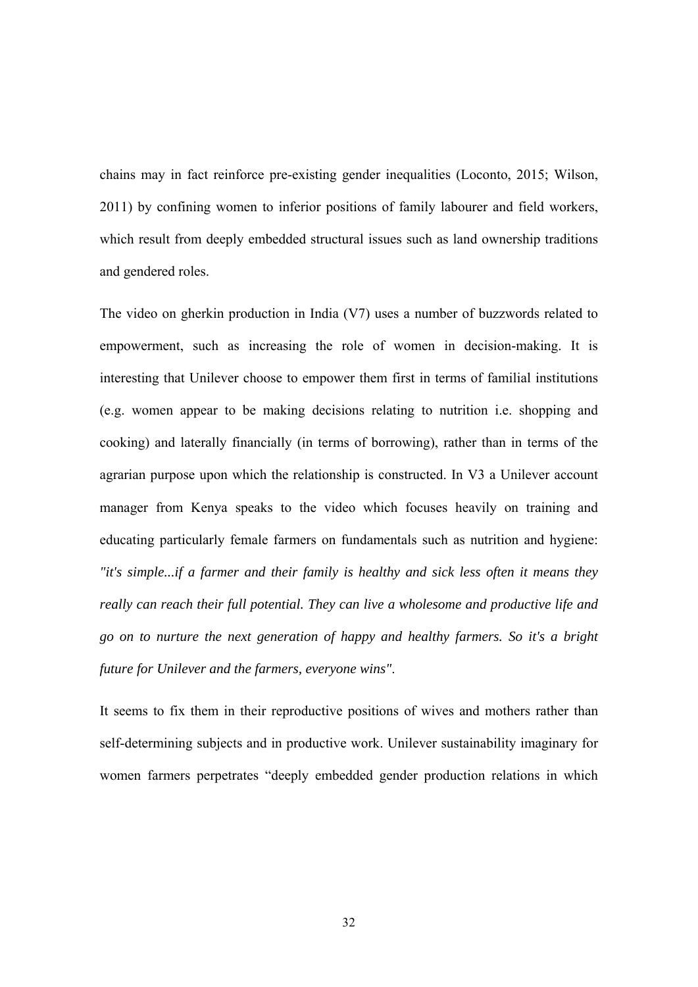chains may in fact reinforce pre-existing gender inequalities (Loconto, 2015; Wilson, 2011) by confining women to inferior positions of family labourer and field workers, which result from deeply embedded structural issues such as land ownership traditions and gendered roles.

The video on gherkin production in India (V7) uses a number of buzzwords related to empowerment, such as increasing the role of women in decision-making. It is interesting that Unilever choose to empower them first in terms of familial institutions (e.g. women appear to be making decisions relating to nutrition i.e. shopping and cooking) and laterally financially (in terms of borrowing), rather than in terms of the agrarian purpose upon which the relationship is constructed. In V3 a Unilever account manager from Kenya speaks to the video which focuses heavily on training and educating particularly female farmers on fundamentals such as nutrition and hygiene: *"it's simple...if a farmer and their family is healthy and sick less often it means they really can reach their full potential. They can live a wholesome and productive life and go on to nurture the next generation of happy and healthy farmers. So it's a bright future for Unilever and the farmers, everyone wins"*.

It seems to fix them in their reproductive positions of wives and mothers rather than self-determining subjects and in productive work. Unilever sustainability imaginary for women farmers perpetrates "deeply embedded gender production relations in which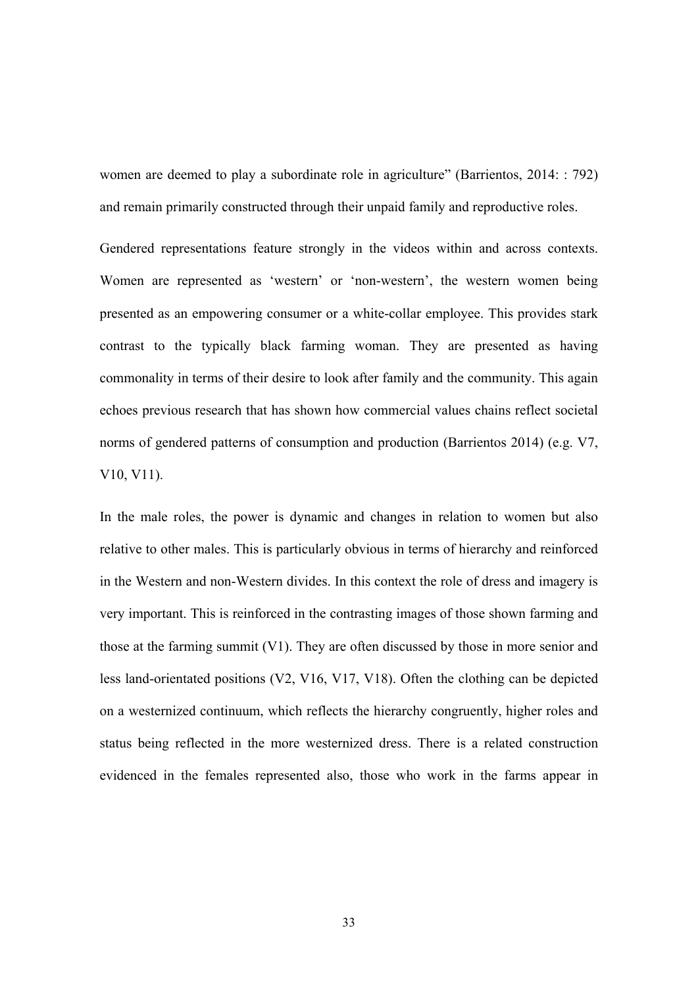women are deemed to play a subordinate role in agriculture" (Barrientos, 2014: : 792) and remain primarily constructed through their unpaid family and reproductive roles.

Gendered representations feature strongly in the videos within and across contexts. Women are represented as 'western' or 'non-western', the western women being presented as an empowering consumer or a white-collar employee. This provides stark contrast to the typically black farming woman. They are presented as having commonality in terms of their desire to look after family and the community. This again echoes previous research that has shown how commercial values chains reflect societal norms of gendered patterns of consumption and production (Barrientos 2014) (e.g. V7, V10, V11).

In the male roles, the power is dynamic and changes in relation to women but also relative to other males. This is particularly obvious in terms of hierarchy and reinforced in the Western and non-Western divides. In this context the role of dress and imagery is very important. This is reinforced in the contrasting images of those shown farming and those at the farming summit (V1). They are often discussed by those in more senior and less land-orientated positions (V2, V16, V17, V18). Often the clothing can be depicted on a westernized continuum, which reflects the hierarchy congruently, higher roles and status being reflected in the more westernized dress. There is a related construction evidenced in the females represented also, those who work in the farms appear in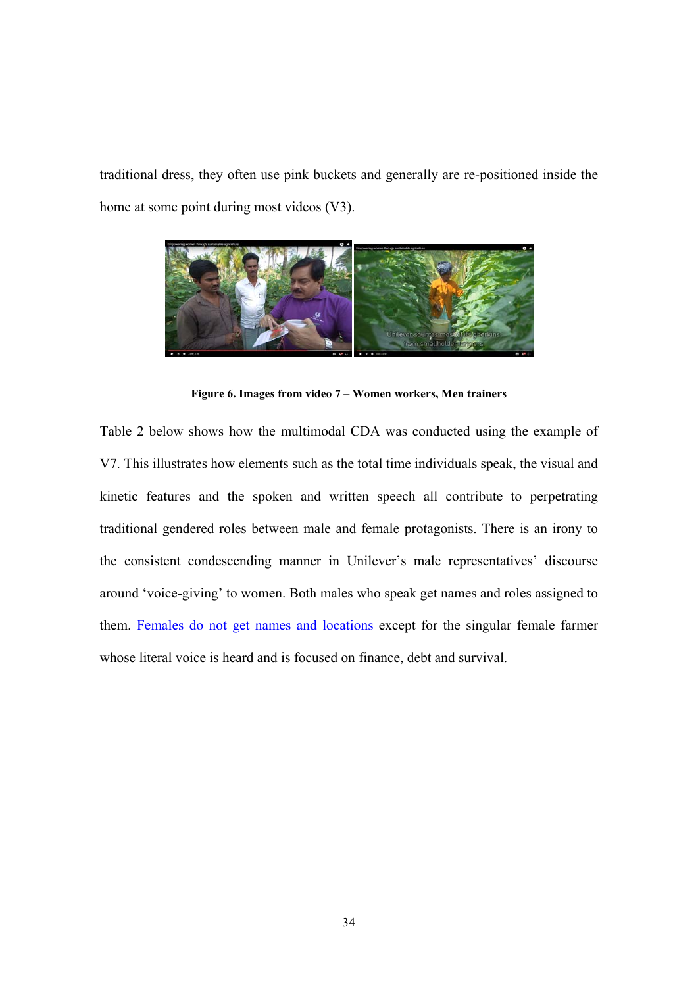traditional dress, they often use pink buckets and generally are re-positioned inside the home at some point during most videos (V3).



**Figure 6. Images from video 7 – Women workers, Men trainers** 

Table 2 below shows how the multimodal CDA was conducted using the example of V7. This illustrates how elements such as the total time individuals speak, the visual and kinetic features and the spoken and written speech all contribute to perpetrating traditional gendered roles between male and female protagonists. There is an irony to the consistent condescending manner in Unilever's male representatives' discourse around 'voice-giving' to women. Both males who speak get names and roles assigned to them. Females do not get names and locations except for the singular female farmer whose literal voice is heard and is focused on finance, debt and survival.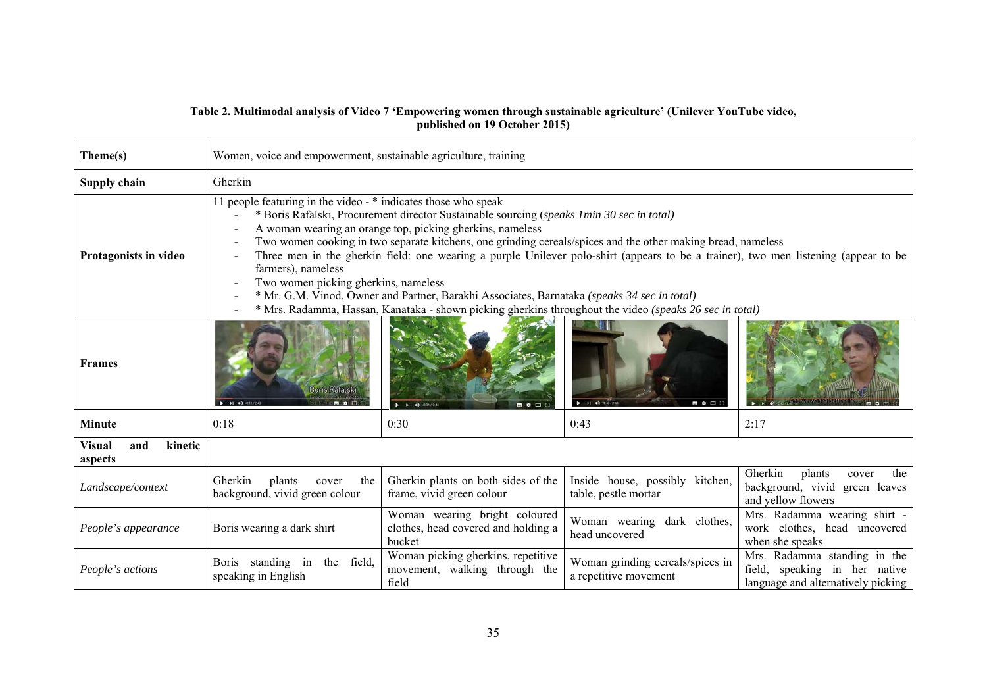#### **Table 2. Multimodal analysis of Video 7 'Empowering women through sustainable agriculture' (Unilever YouTube video, published on 19 October 2015)**

| Theme(s)                                   | Women, voice and empowerment, sustainable agriculture, training                                                                                                                                                                                                                                                                                                                                                                                                                                                                                                                                                                                                                                                                                         |                                                                                |                                                           |                                                                                                     |  |  |  |
|--------------------------------------------|---------------------------------------------------------------------------------------------------------------------------------------------------------------------------------------------------------------------------------------------------------------------------------------------------------------------------------------------------------------------------------------------------------------------------------------------------------------------------------------------------------------------------------------------------------------------------------------------------------------------------------------------------------------------------------------------------------------------------------------------------------|--------------------------------------------------------------------------------|-----------------------------------------------------------|-----------------------------------------------------------------------------------------------------|--|--|--|
| Supply chain                               | Gherkin                                                                                                                                                                                                                                                                                                                                                                                                                                                                                                                                                                                                                                                                                                                                                 |                                                                                |                                                           |                                                                                                     |  |  |  |
| Protagonists in video                      | 11 people featuring in the video - * indicates those who speak<br>* Boris Rafalski, Procurement director Sustainable sourcing (speaks 1min 30 sec in total)<br>A woman wearing an orange top, picking gherkins, nameless<br>Two women cooking in two separate kitchens, one grinding cereals/spices and the other making bread, nameless<br>Three men in the gherkin field: one wearing a purple Unilever polo-shirt (appears to be a trainer), two men listening (appear to be<br>farmers), nameless<br>Two women picking gherkins, nameless<br>* Mr. G.M. Vinod, Owner and Partner, Barakhi Associates, Barnataka (speaks 34 sec in total)<br>* Mrs. Radamma, Hassan, Kanataka - shown picking gherkins throughout the video (speaks 26 sec in total) |                                                                                |                                                           |                                                                                                     |  |  |  |
| <b>Frames</b>                              | <b>Boris Rafalski</b><br>$A = 14$ $A)$ $-0.18/2.48$<br>■ ● □                                                                                                                                                                                                                                                                                                                                                                                                                                                                                                                                                                                                                                                                                            | <b>BO</b>                                                                      | 最幸田<br>$P = M$ 40 + 0                                     |                                                                                                     |  |  |  |
| <b>Minute</b>                              | 0:18                                                                                                                                                                                                                                                                                                                                                                                                                                                                                                                                                                                                                                                                                                                                                    | 0:30                                                                           | 0:43                                                      | 2:17                                                                                                |  |  |  |
| <b>Visual</b><br>and<br>kinetic<br>aspects |                                                                                                                                                                                                                                                                                                                                                                                                                                                                                                                                                                                                                                                                                                                                                         |                                                                                |                                                           |                                                                                                     |  |  |  |
| Landscape/context                          | Gherkin<br>plants<br>the<br>cover<br>background, vivid green colour                                                                                                                                                                                                                                                                                                                                                                                                                                                                                                                                                                                                                                                                                     | Gherkin plants on both sides of the<br>frame, vivid green colour               | Inside house, possibly kitchen,<br>table, pestle mortar   | Gherkin<br>plants<br>the<br>cover<br>background, vivid green leaves<br>and yellow flowers           |  |  |  |
| People's appearance                        | Boris wearing a dark shirt                                                                                                                                                                                                                                                                                                                                                                                                                                                                                                                                                                                                                                                                                                                              | Woman wearing bright coloured<br>clothes, head covered and holding a<br>bucket | Woman wearing dark clothes,<br>head uncovered             | Mrs. Radamma wearing shirt -<br>work clothes, head uncovered<br>when she speaks                     |  |  |  |
| People's actions                           | Boris standing in<br>the field,<br>speaking in English                                                                                                                                                                                                                                                                                                                                                                                                                                                                                                                                                                                                                                                                                                  | Woman picking gherkins, repetitive<br>movement, walking through the<br>field   | Woman grinding cereals/spices in<br>a repetitive movement | Mrs. Radamma standing in the<br>field, speaking in her native<br>language and alternatively picking |  |  |  |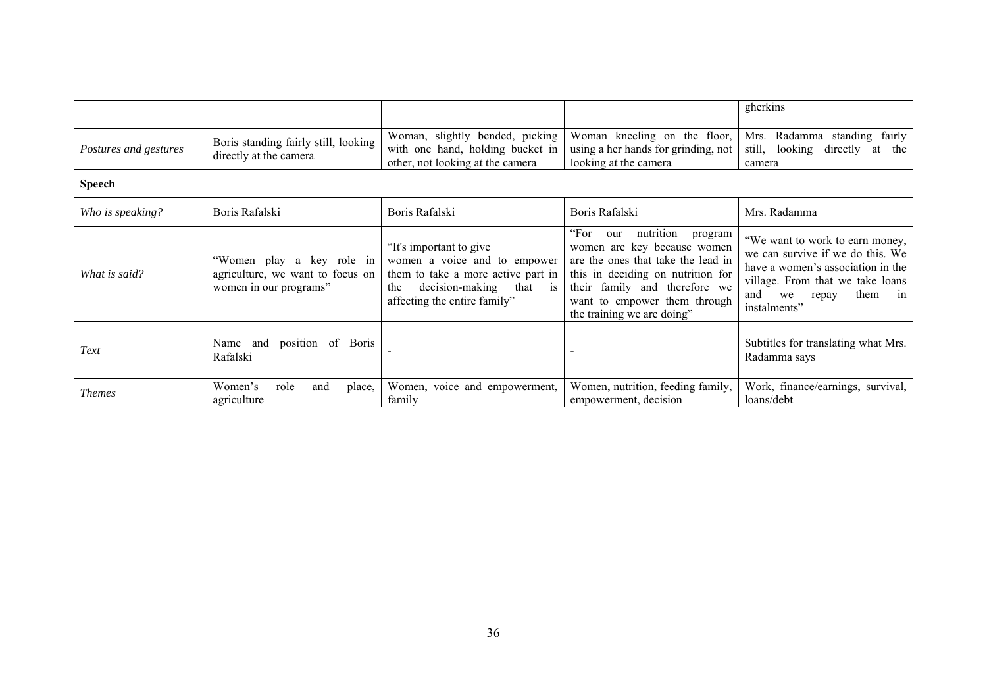|                       |                                                                                         |                                                                                                                                                                              |                                                                                                                                                                                                                                              | gherkins                                                                                                                                                                                         |
|-----------------------|-----------------------------------------------------------------------------------------|------------------------------------------------------------------------------------------------------------------------------------------------------------------------------|----------------------------------------------------------------------------------------------------------------------------------------------------------------------------------------------------------------------------------------------|--------------------------------------------------------------------------------------------------------------------------------------------------------------------------------------------------|
| Postures and gestures | Boris standing fairly still, looking<br>directly at the camera                          | Woman, slightly bended, picking<br>with one hand, holding bucket in<br>other, not looking at the camera                                                                      | Woman kneeling on the floor,<br>using a her hands for grinding, not<br>looking at the camera                                                                                                                                                 | fairly<br>Radamma standing<br>Mrs.<br>still,<br>looking<br>directly<br>the<br>at<br>camera                                                                                                       |
| <b>Speech</b>         |                                                                                         |                                                                                                                                                                              |                                                                                                                                                                                                                                              |                                                                                                                                                                                                  |
| Who is speaking?      | Boris Rafalski                                                                          | Boris Rafalski                                                                                                                                                               | Boris Rafalski                                                                                                                                                                                                                               | Mrs. Radamma                                                                                                                                                                                     |
| What is said?         | "Women play a key role in<br>agriculture, we want to focus on<br>women in our programs" | "It's important to give<br>women a voice and to empower<br>them to take a more active part in<br>decision-making<br>that<br>the<br><b>1S</b><br>affecting the entire family" | "For<br>nutrition<br>our<br>program<br>women are key because women<br>are the ones that take the lead in<br>this in deciding on nutrition for<br>their family and therefore we<br>want to empower them through<br>the training we are doing" | "We want to work to earn money,<br>we can survive if we do this. We<br>have a women's association in the<br>village. From that we take loans<br>them<br>we<br>and<br>repay<br>1n<br>instalments" |
| Text                  | Name and position of Boris<br>Rafalski                                                  |                                                                                                                                                                              |                                                                                                                                                                                                                                              | Subtitles for translating what Mrs.<br>Radamma says                                                                                                                                              |
| <b>Themes</b>         | Women's<br>role<br>and<br>place,<br>agriculture                                         | Women, voice and empowerment,<br>family                                                                                                                                      | Women, nutrition, feeding family,<br>empowerment, decision                                                                                                                                                                                   | Work, finance/earnings, survival,<br>loans/debt                                                                                                                                                  |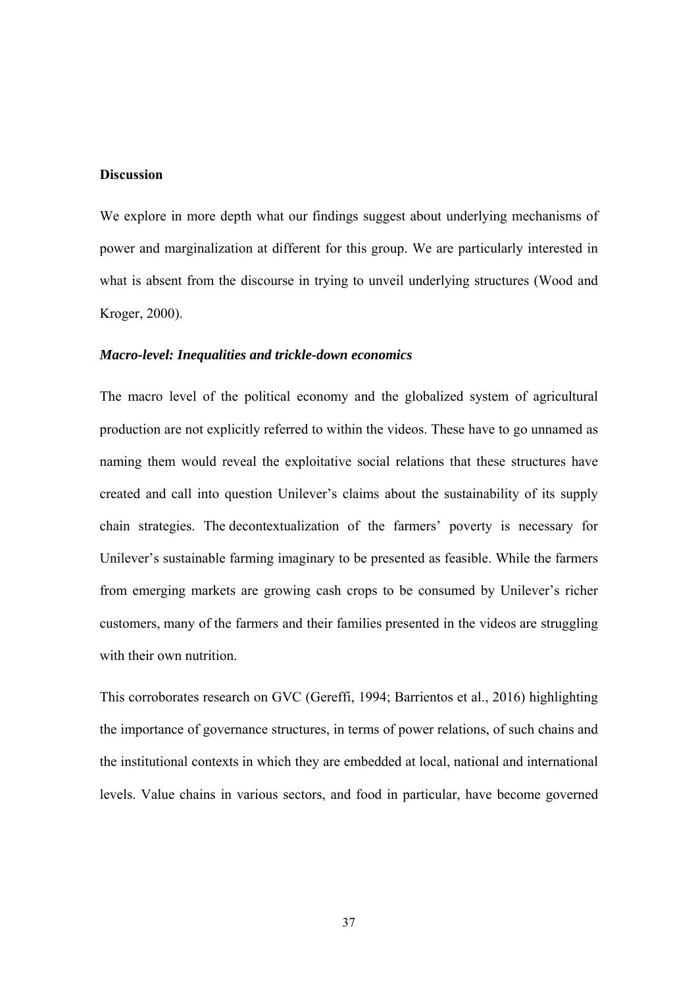#### **Discussion**

We explore in more depth what our findings suggest about underlying mechanisms of power and marginalization at different for this group. We are particularly interested in what is absent from the discourse in trying to unveil underlying structures (Wood and Kroger, 2000).

#### *Macro-level: Inequalities and trickle-down economics*

The macro level of the political economy and the globalized system of agricultural production are not explicitly referred to within the videos. These have to go unnamed as naming them would reveal the exploitative social relations that these structures have created and call into question Unilever's claims about the sustainability of its supply chain strategies. The decontextualization of the farmers' poverty is necessary for Unilever's sustainable farming imaginary to be presented as feasible. While the farmers from emerging markets are growing cash crops to be consumed by Unilever's richer customers, many of the farmers and their families presented in the videos are struggling with their own nutrition.

This corroborates research on GVC (Gereffi, 1994; Barrientos et al., 2016) highlighting the importance of governance structures, in terms of power relations, of such chains and the institutional contexts in which they are embedded at local, national and international levels. Value chains in various sectors, and food in particular, have become governed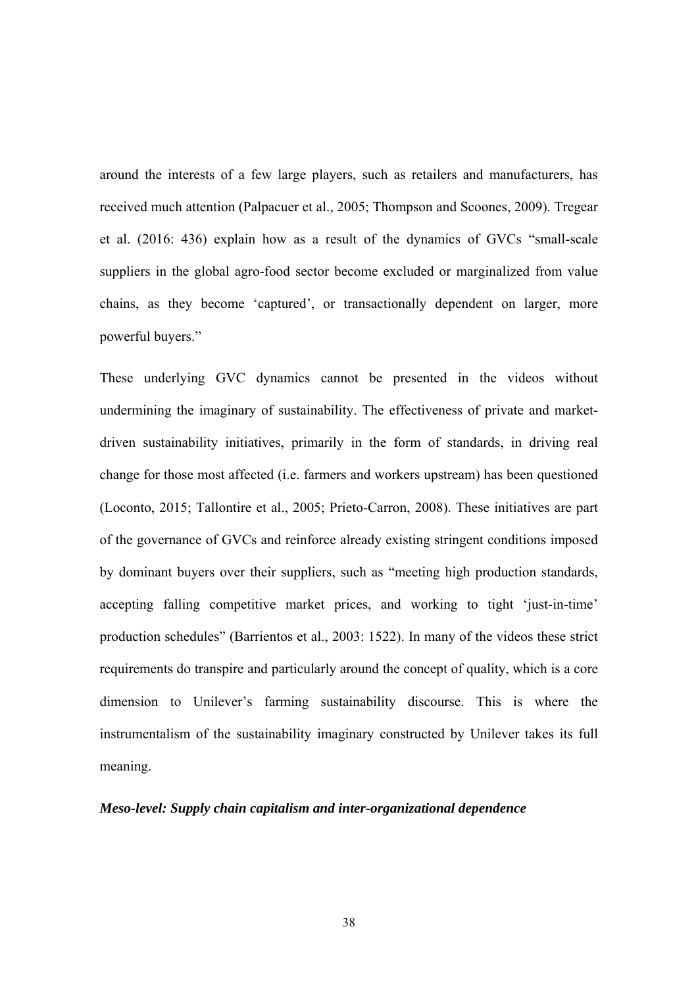around the interests of a few large players, such as retailers and manufacturers, has received much attention (Palpacuer et al., 2005; Thompson and Scoones, 2009). Tregear et al. (2016: 436) explain how as a result of the dynamics of GVCs "small-scale suppliers in the global agro-food sector become excluded or marginalized from value chains, as they become 'captured', or transactionally dependent on larger, more powerful buyers."

These underlying GVC dynamics cannot be presented in the videos without undermining the imaginary of sustainability. The effectiveness of private and marketdriven sustainability initiatives, primarily in the form of standards, in driving real change for those most affected (i.e. farmers and workers upstream) has been questioned (Loconto, 2015; Tallontire et al., 2005; Prieto-Carron, 2008). These initiatives are part of the governance of GVCs and reinforce already existing stringent conditions imposed by dominant buyers over their suppliers, such as "meeting high production standards, accepting falling competitive market prices, and working to tight 'just-in-time' production schedules" (Barrientos et al., 2003: 1522). In many of the videos these strict requirements do transpire and particularly around the concept of quality, which is a core dimension to Unilever's farming sustainability discourse. This is where the instrumentalism of the sustainability imaginary constructed by Unilever takes its full meaning.

#### *Meso-level: Supply chain capitalism and inter-organizational dependence*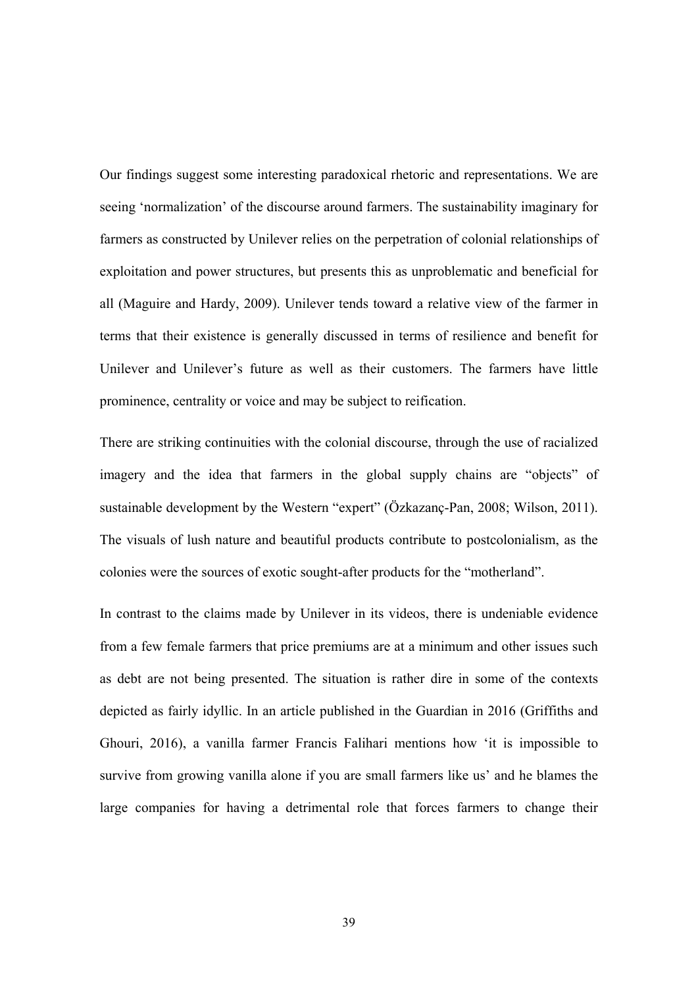Our findings suggest some interesting paradoxical rhetoric and representations. We are seeing 'normalization' of the discourse around farmers. The sustainability imaginary for farmers as constructed by Unilever relies on the perpetration of colonial relationships of exploitation and power structures, but presents this as unproblematic and beneficial for all (Maguire and Hardy, 2009). Unilever tends toward a relative view of the farmer in terms that their existence is generally discussed in terms of resilience and benefit for Unilever and Unilever's future as well as their customers. The farmers have little prominence, centrality or voice and may be subject to reification.

There are striking continuities with the colonial discourse, through the use of racialized imagery and the idea that farmers in the global supply chains are "objects" of sustainable development by the Western "expert" (Özkazanç-Pan, 2008; Wilson, 2011). The visuals of lush nature and beautiful products contribute to postcolonialism, as the colonies were the sources of exotic sought-after products for the "motherland".

In contrast to the claims made by Unilever in its videos, there is undeniable evidence from a few female farmers that price premiums are at a minimum and other issues such as debt are not being presented. The situation is rather dire in some of the contexts depicted as fairly idyllic. In an article published in the Guardian in 2016 (Griffiths and Ghouri, 2016), a vanilla farmer Francis Falihari mentions how 'it is impossible to survive from growing vanilla alone if you are small farmers like us' and he blames the large companies for having a detrimental role that forces farmers to change their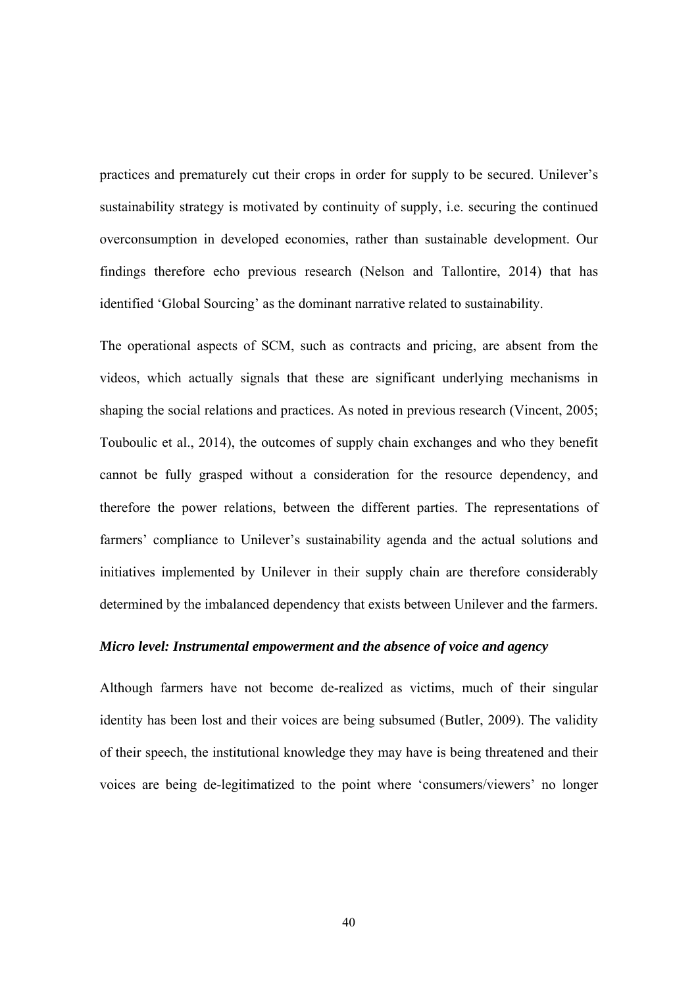practices and prematurely cut their crops in order for supply to be secured. Unilever's sustainability strategy is motivated by continuity of supply, i.e. securing the continued overconsumption in developed economies, rather than sustainable development. Our findings therefore echo previous research (Nelson and Tallontire, 2014) that has identified 'Global Sourcing' as the dominant narrative related to sustainability.

The operational aspects of SCM, such as contracts and pricing, are absent from the videos, which actually signals that these are significant underlying mechanisms in shaping the social relations and practices. As noted in previous research (Vincent, 2005; Touboulic et al., 2014), the outcomes of supply chain exchanges and who they benefit cannot be fully grasped without a consideration for the resource dependency, and therefore the power relations, between the different parties. The representations of farmers' compliance to Unilever's sustainability agenda and the actual solutions and initiatives implemented by Unilever in their supply chain are therefore considerably determined by the imbalanced dependency that exists between Unilever and the farmers.

#### *Micro level: Instrumental empowerment and the absence of voice and agency*

Although farmers have not become de-realized as victims, much of their singular identity has been lost and their voices are being subsumed (Butler, 2009). The validity of their speech, the institutional knowledge they may have is being threatened and their voices are being de-legitimatized to the point where 'consumers/viewers' no longer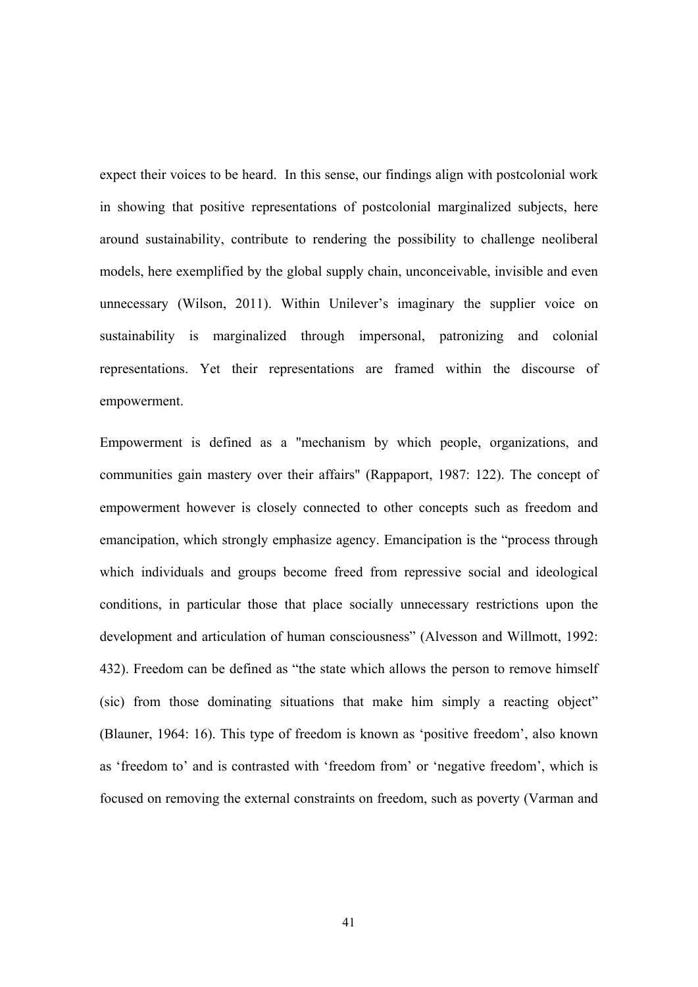expect their voices to be heard. In this sense, our findings align with postcolonial work in showing that positive representations of postcolonial marginalized subjects, here around sustainability, contribute to rendering the possibility to challenge neoliberal models, here exemplified by the global supply chain, unconceivable, invisible and even unnecessary (Wilson, 2011). Within Unilever's imaginary the supplier voice on sustainability is marginalized through impersonal, patronizing and colonial representations. Yet their representations are framed within the discourse of empowerment.

Empowerment is defined as a "mechanism by which people, organizations, and communities gain mastery over their affairs" (Rappaport, 1987: 122). The concept of empowerment however is closely connected to other concepts such as freedom and emancipation, which strongly emphasize agency. Emancipation is the "process through which individuals and groups become freed from repressive social and ideological conditions, in particular those that place socially unnecessary restrictions upon the development and articulation of human consciousness" (Alvesson and Willmott, 1992: 432). Freedom can be defined as "the state which allows the person to remove himself (sic) from those dominating situations that make him simply a reacting object" (Blauner, 1964: 16). This type of freedom is known as 'positive freedom', also known as 'freedom to' and is contrasted with 'freedom from' or 'negative freedom', which is focused on removing the external constraints on freedom, such as poverty (Varman and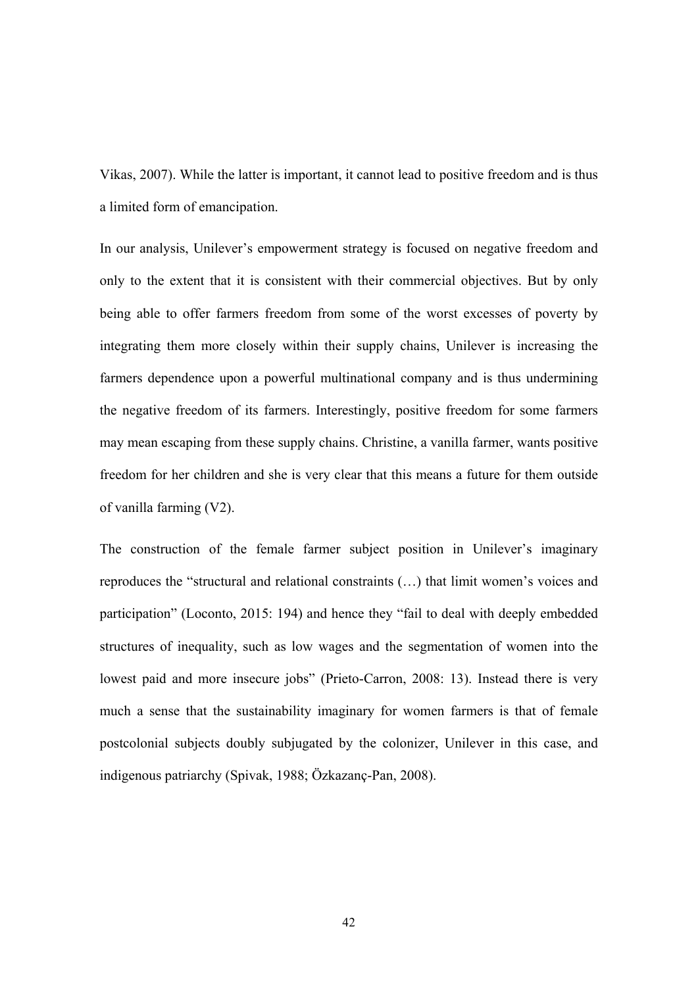Vikas, 2007). While the latter is important, it cannot lead to positive freedom and is thus a limited form of emancipation.

In our analysis, Unilever's empowerment strategy is focused on negative freedom and only to the extent that it is consistent with their commercial objectives. But by only being able to offer farmers freedom from some of the worst excesses of poverty by integrating them more closely within their supply chains, Unilever is increasing the farmers dependence upon a powerful multinational company and is thus undermining the negative freedom of its farmers. Interestingly, positive freedom for some farmers may mean escaping from these supply chains. Christine, a vanilla farmer, wants positive freedom for her children and she is very clear that this means a future for them outside of vanilla farming (V2).

The construction of the female farmer subject position in Unilever's imaginary reproduces the "structural and relational constraints (…) that limit women's voices and participation" (Loconto, 2015: 194) and hence they "fail to deal with deeply embedded structures of inequality, such as low wages and the segmentation of women into the lowest paid and more insecure jobs" (Prieto-Carron, 2008: 13). Instead there is very much a sense that the sustainability imaginary for women farmers is that of female postcolonial subjects doubly subjugated by the colonizer, Unilever in this case, and indigenous patriarchy (Spivak, 1988; Özkazanç-Pan, 2008).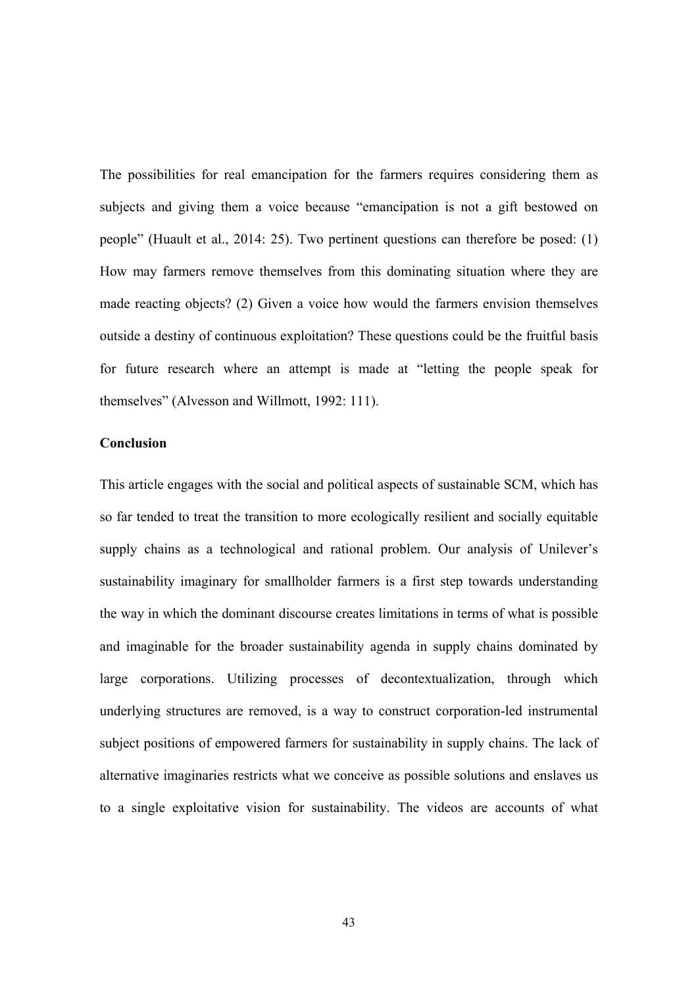The possibilities for real emancipation for the farmers requires considering them as subjects and giving them a voice because "emancipation is not a gift bestowed on people" (Huault et al., 2014: 25). Two pertinent questions can therefore be posed: (1) How may farmers remove themselves from this dominating situation where they are made reacting objects? (2) Given a voice how would the farmers envision themselves outside a destiny of continuous exploitation? These questions could be the fruitful basis for future research where an attempt is made at "letting the people speak for themselves" (Alvesson and Willmott, 1992: 111).

### **Conclusion**

This article engages with the social and political aspects of sustainable SCM, which has so far tended to treat the transition to more ecologically resilient and socially equitable supply chains as a technological and rational problem. Our analysis of Unilever's sustainability imaginary for smallholder farmers is a first step towards understanding the way in which the dominant discourse creates limitations in terms of what is possible and imaginable for the broader sustainability agenda in supply chains dominated by large corporations. Utilizing processes of decontextualization, through which underlying structures are removed, is a way to construct corporation-led instrumental subject positions of empowered farmers for sustainability in supply chains. The lack of alternative imaginaries restricts what we conceive as possible solutions and enslaves us to a single exploitative vision for sustainability. The videos are accounts of what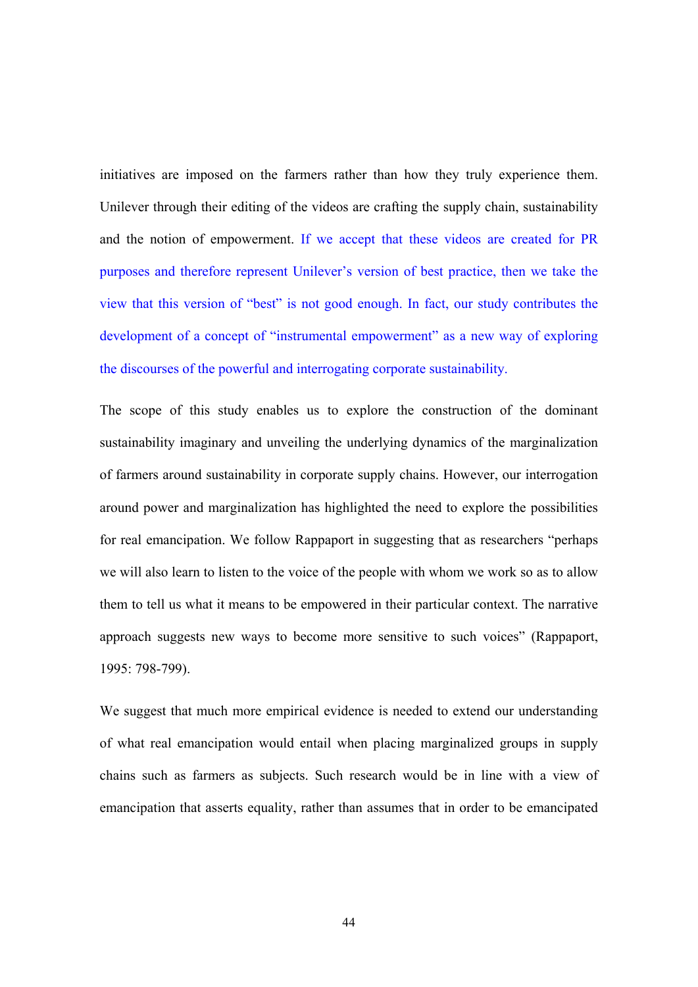initiatives are imposed on the farmers rather than how they truly experience them. Unilever through their editing of the videos are crafting the supply chain, sustainability and the notion of empowerment. If we accept that these videos are created for PR purposes and therefore represent Unilever's version of best practice, then we take the view that this version of "best" is not good enough. In fact, our study contributes the development of a concept of "instrumental empowerment" as a new way of exploring the discourses of the powerful and interrogating corporate sustainability.

The scope of this study enables us to explore the construction of the dominant sustainability imaginary and unveiling the underlying dynamics of the marginalization of farmers around sustainability in corporate supply chains. However, our interrogation around power and marginalization has highlighted the need to explore the possibilities for real emancipation. We follow Rappaport in suggesting that as researchers "perhaps we will also learn to listen to the voice of the people with whom we work so as to allow them to tell us what it means to be empowered in their particular context. The narrative approach suggests new ways to become more sensitive to such voices" (Rappaport, 1995: 798-799).

We suggest that much more empirical evidence is needed to extend our understanding of what real emancipation would entail when placing marginalized groups in supply chains such as farmers as subjects. Such research would be in line with a view of emancipation that asserts equality, rather than assumes that in order to be emancipated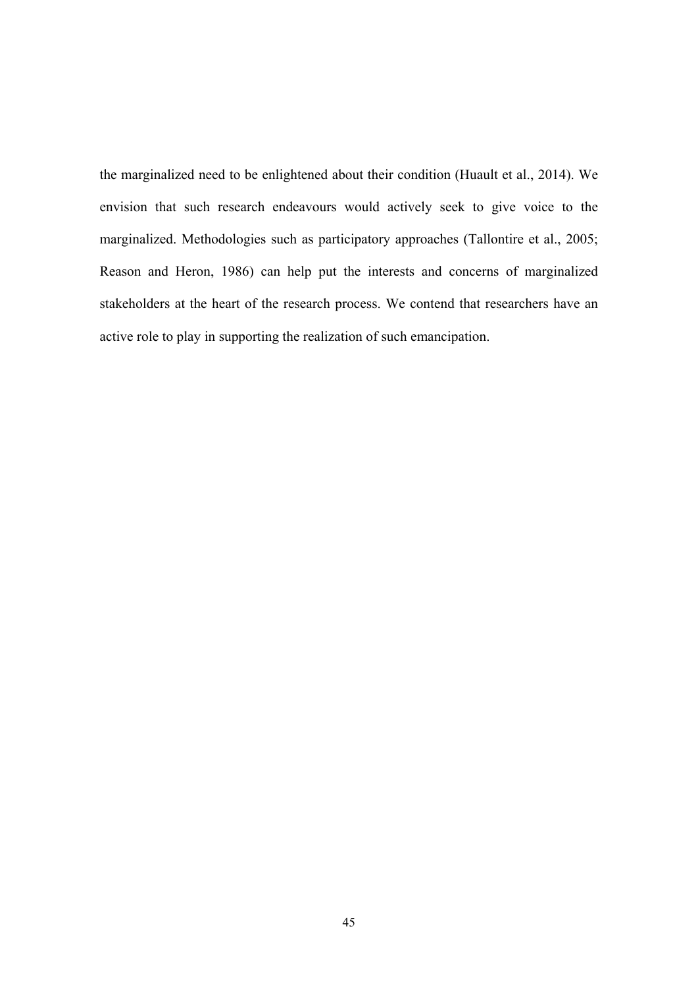the marginalized need to be enlightened about their condition (Huault et al., 2014). We envision that such research endeavours would actively seek to give voice to the marginalized. Methodologies such as participatory approaches (Tallontire et al., 2005; Reason and Heron, 1986) can help put the interests and concerns of marginalized stakeholders at the heart of the research process. We contend that researchers have an active role to play in supporting the realization of such emancipation.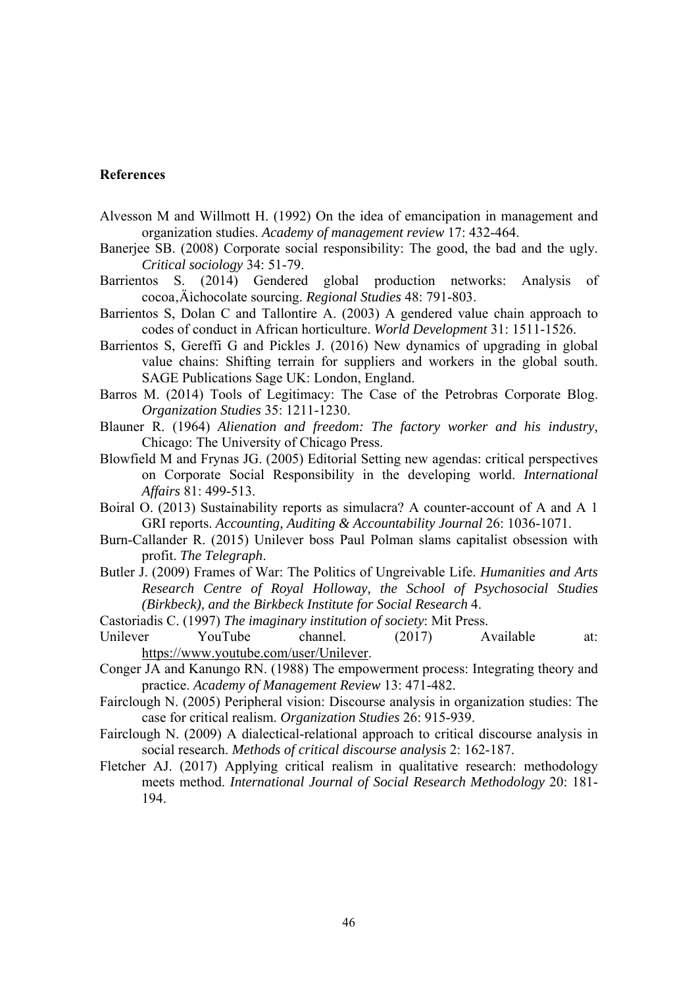#### **References**

- Alvesson M and Willmott H. (1992) On the idea of emancipation in management and organization studies. *Academy of management review* 17: 432-464.
- Banerjee SB. (2008) Corporate social responsibility: The good, the bad and the ugly. *Critical sociology* 34: 51-79.
- Barrientos S. (2014) Gendered global production networks: Analysis of cocoa, Äichocolate sourcing. *Regional Studies* 48: 791-803.
- Barrientos S, Dolan C and Tallontire A. (2003) A gendered value chain approach to codes of conduct in African horticulture. *World Development* 31: 1511-1526.
- Barrientos S, Gereffi G and Pickles J. (2016) New dynamics of upgrading in global value chains: Shifting terrain for suppliers and workers in the global south. SAGE Publications Sage UK: London, England.
- Barros M. (2014) Tools of Legitimacy: The Case of the Petrobras Corporate Blog. *Organization Studies* 35: 1211-1230.
- Blauner R. (1964) *Alienation and freedom: The factory worker and his industry,*  Chicago: The University of Chicago Press.
- Blowfield M and Frynas JG. (2005) Editorial Setting new agendas: critical perspectives on Corporate Social Responsibility in the developing world. *International Affairs* 81: 499-513.
- Boiral O. (2013) Sustainability reports as simulacra? A counter-account of A and A 1 GRI reports. *Accounting, Auditing & Accountability Journal* 26: 1036-1071.
- Burn-Callander R. (2015) Unilever boss Paul Polman slams capitalist obsession with profit. *The Telegraph*.
- Butler J. (2009) Frames of War: The Politics of Ungreivable Life. *Humanities and Arts Research Centre of Royal Holloway, the School of Psychosocial Studies (Birkbeck), and the Birkbeck Institute for Social Research* 4.
- Castoriadis C. (1997) *The imaginary institution of society*: Mit Press.
- Unilever YouTube channel. (2017) Available at: https://www.youtube.com/user/Unilever.
- Conger JA and Kanungo RN. (1988) The empowerment process: Integrating theory and practice. *Academy of Management Review* 13: 471-482.
- Fairclough N. (2005) Peripheral vision: Discourse analysis in organization studies: The case for critical realism. *Organization Studies* 26: 915-939.
- Fairclough N. (2009) A dialectical-relational approach to critical discourse analysis in social research. *Methods of critical discourse analysis* 2: 162-187.
- Fletcher AJ. (2017) Applying critical realism in qualitative research: methodology meets method. *International Journal of Social Research Methodology* 20: 181- 194.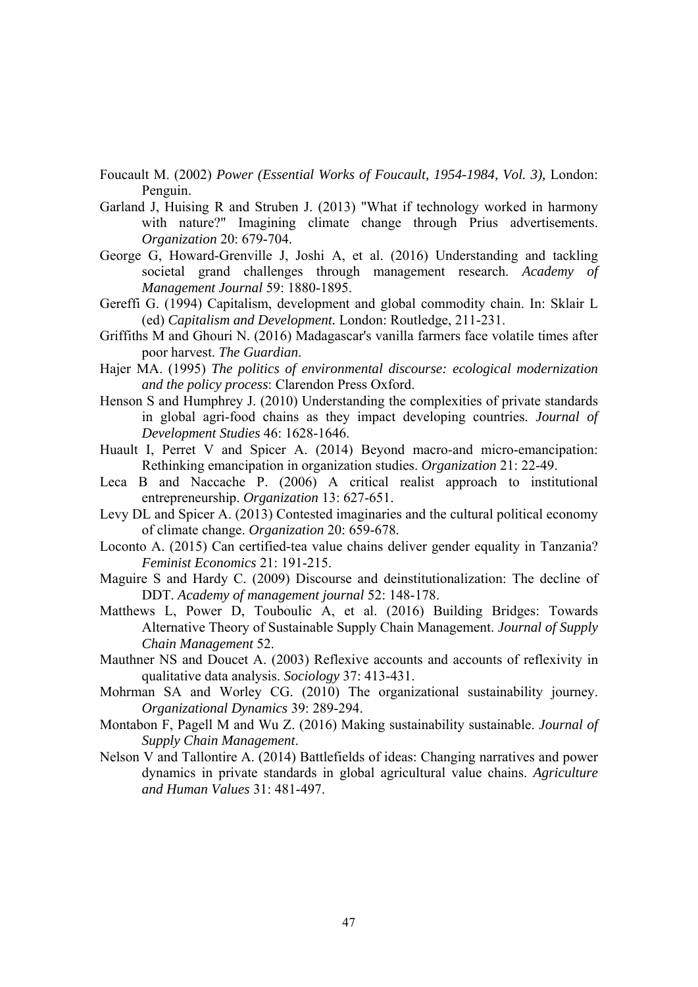- Foucault M. (2002) *Power (Essential Works of Foucault, 1954-1984, Vol. 3),* London: Penguin.
- Garland J, Huising R and Struben J. (2013) "What if technology worked in harmony with nature?" Imagining climate change through Prius advertisements. *Organization* 20: 679-704.
- George G, Howard-Grenville J, Joshi A, et al. (2016) Understanding and tackling societal grand challenges through management research. *Academy of Management Journal* 59: 1880-1895.
- Gereffi G. (1994) Capitalism, development and global commodity chain. In: Sklair L (ed) *Capitalism and Development.* London: Routledge, 211-231.
- Griffiths M and Ghouri N. (2016) Madagascar's vanilla farmers face volatile times after poor harvest. *The Guardian*.
- Hajer MA. (1995) *The politics of environmental discourse: ecological modernization and the policy process*: Clarendon Press Oxford.
- Henson S and Humphrey J. (2010) Understanding the complexities of private standards in global agri-food chains as they impact developing countries. *Journal of Development Studies* 46: 1628-1646.
- Huault I, Perret V and Spicer A. (2014) Beyond macro-and micro-emancipation: Rethinking emancipation in organization studies. *Organization* 21: 22-49.
- Leca B and Naccache P. (2006) A critical realist approach to institutional entrepreneurship. *Organization* 13: 627-651.
- Levy DL and Spicer A. (2013) Contested imaginaries and the cultural political economy of climate change. *Organization* 20: 659-678.
- Loconto A. (2015) Can certified-tea value chains deliver gender equality in Tanzania? *Feminist Economics* 21: 191-215.
- Maguire S and Hardy C. (2009) Discourse and deinstitutionalization: The decline of DDT. *Academy of management journal* 52: 148-178.
- Matthews L, Power D, Touboulic A, et al. (2016) Building Bridges: Towards Alternative Theory of Sustainable Supply Chain Management. *Journal of Supply Chain Management* 52.
- Mauthner NS and Doucet A. (2003) Reflexive accounts and accounts of reflexivity in qualitative data analysis. *Sociology* 37: 413-431.
- Mohrman SA and Worley CG. (2010) The organizational sustainability journey. *Organizational Dynamics* 39: 289-294.
- Montabon F, Pagell M and Wu Z. (2016) Making sustainability sustainable. *Journal of Supply Chain Management*.
- Nelson V and Tallontire A. (2014) Battlefields of ideas: Changing narratives and power dynamics in private standards in global agricultural value chains. *Agriculture and Human Values* 31: 481-497.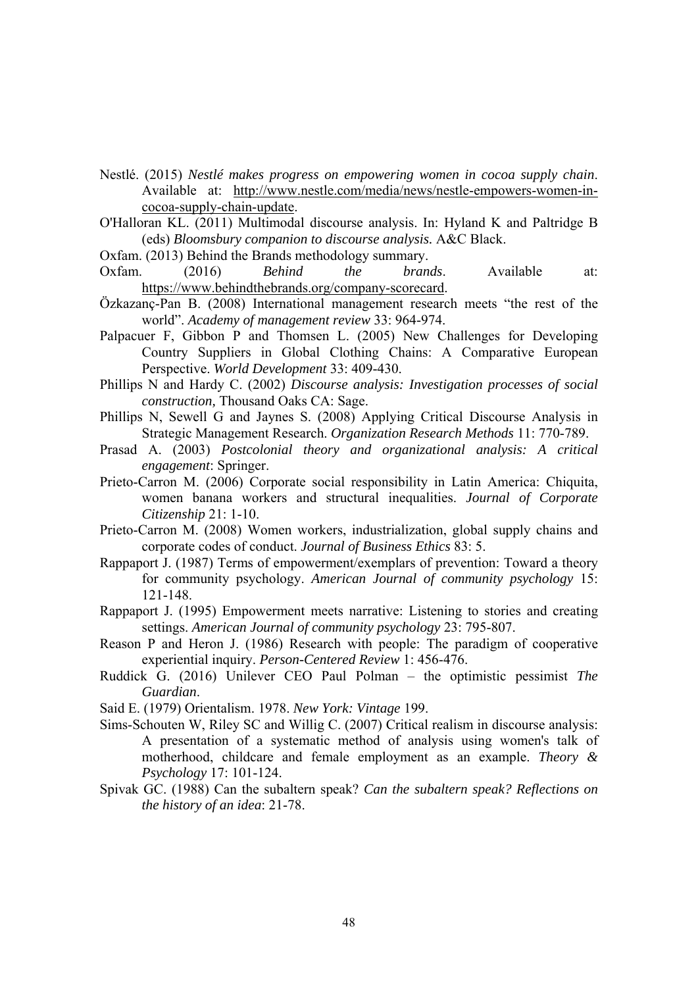- Nestlé. (2015) *Nestlé makes progress on empowering women in cocoa supply chain*. Available at: http://www.nestle.com/media/news/nestle-empowers-women-incocoa-supply-chain-update.
- O'Halloran KL. (2011) Multimodal discourse analysis. In: Hyland K and Paltridge B (eds) *Bloomsbury companion to discourse analysis.* A&C Black.
- Oxfam. (2013) Behind the Brands methodology summary.
- Oxfam. (2016) *Behind the brands*. Available at: https://www.behindthebrands.org/company-scorecard.
- Özkazanç-Pan B. (2008) International management research meets "the rest of the world". *Academy of management review* 33: 964-974.
- Palpacuer F, Gibbon P and Thomsen L. (2005) New Challenges for Developing Country Suppliers in Global Clothing Chains: A Comparative European Perspective. *World Development* 33: 409-430.
- Phillips N and Hardy C. (2002) *Discourse analysis: Investigation processes of social construction,* Thousand Oaks CA: Sage.
- Phillips N, Sewell G and Jaynes S. (2008) Applying Critical Discourse Analysis in Strategic Management Research. *Organization Research Methods* 11: 770-789.
- Prasad A. (2003) *Postcolonial theory and organizational analysis: A critical engagement*: Springer.
- Prieto-Carron M. (2006) Corporate social responsibility in Latin America: Chiquita, women banana workers and structural inequalities. *Journal of Corporate Citizenship* 21: 1-10.
- Prieto-Carron M. (2008) Women workers, industrialization, global supply chains and corporate codes of conduct. *Journal of Business Ethics* 83: 5.
- Rappaport J. (1987) Terms of empowerment/exemplars of prevention: Toward a theory for community psychology. *American Journal of community psychology* 15: 121-148.
- Rappaport J. (1995) Empowerment meets narrative: Listening to stories and creating settings. *American Journal of community psychology* 23: 795-807.
- Reason P and Heron J. (1986) Research with people: The paradigm of cooperative experiential inquiry. *Person-Centered Review* 1: 456-476.
- Ruddick G. (2016) Unilever CEO Paul Polman the optimistic pessimist *The Guardian*.
- Said E. (1979) Orientalism. 1978. *New York: Vintage* 199.
- Sims-Schouten W, Riley SC and Willig C. (2007) Critical realism in discourse analysis: A presentation of a systematic method of analysis using women's talk of motherhood, childcare and female employment as an example. *Theory & Psychology* 17: 101-124.
- Spivak GC. (1988) Can the subaltern speak? *Can the subaltern speak? Reflections on the history of an idea*: 21-78.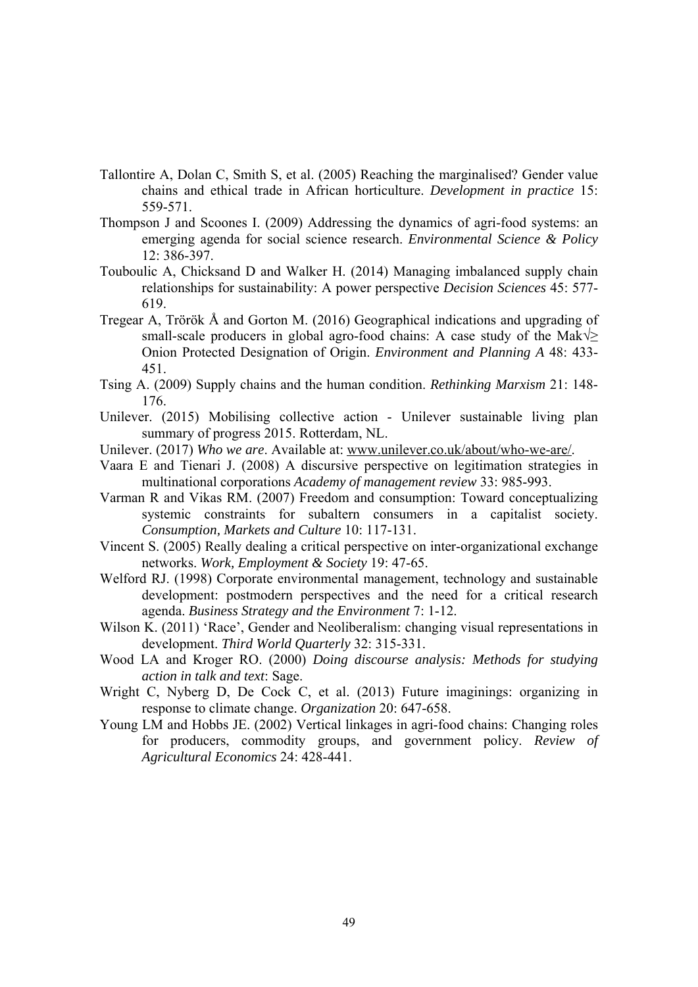- Tallontire A, Dolan C, Smith S, et al. (2005) Reaching the marginalised? Gender value chains and ethical trade in African horticulture. *Development in practice* 15: 559-571.
- Thompson J and Scoones I. (2009) Addressing the dynamics of agri-food systems: an emerging agenda for social science research. *Environmental Science & Policy* 12: 386-397.
- Touboulic A, Chicksand D and Walker H. (2014) Managing imbalanced supply chain relationships for sustainability: A power perspective *Decision Sciences* 45: 577- 619.
- Tregear A, Trörök Å and Gorton M. (2016) Geographical indications and upgrading of small-scale producers in global agro-food chains: A case study of the Mak $\sqrt{\ge}$ Onion Protected Designation of Origin. *Environment and Planning A* 48: 433- 451.
- Tsing A. (2009) Supply chains and the human condition. *Rethinking Marxism* 21: 148- 176.
- Unilever. (2015) Mobilising collective action Unilever sustainable living plan summary of progress 2015. Rotterdam, NL.
- Unilever. (2017) *Who we are*. Available at: www.unilever.co.uk/about/who-we-are/.
- Vaara E and Tienari J. (2008) A discursive perspective on legitimation strategies in multinational corporations *Academy of management review* 33: 985-993.
- Varman R and Vikas RM. (2007) Freedom and consumption: Toward conceptualizing systemic constraints for subaltern consumers in a capitalist society. *Consumption, Markets and Culture* 10: 117-131.
- Vincent S. (2005) Really dealing a critical perspective on inter-organizational exchange networks. *Work, Employment & Society* 19: 47-65.
- Welford RJ. (1998) Corporate environmental management, technology and sustainable development: postmodern perspectives and the need for a critical research agenda. *Business Strategy and the Environment* 7: 1-12.
- Wilson K. (2011) 'Race', Gender and Neoliberalism: changing visual representations in development. *Third World Quarterly* 32: 315-331.
- Wood LA and Kroger RO. (2000) *Doing discourse analysis: Methods for studying action in talk and text*: Sage.
- Wright C, Nyberg D, De Cock C, et al. (2013) Future imaginings: organizing in response to climate change. *Organization* 20: 647-658.
- Young LM and Hobbs JE. (2002) Vertical linkages in agri-food chains: Changing roles for producers, commodity groups, and government policy. *Review of Agricultural Economics* 24: 428-441.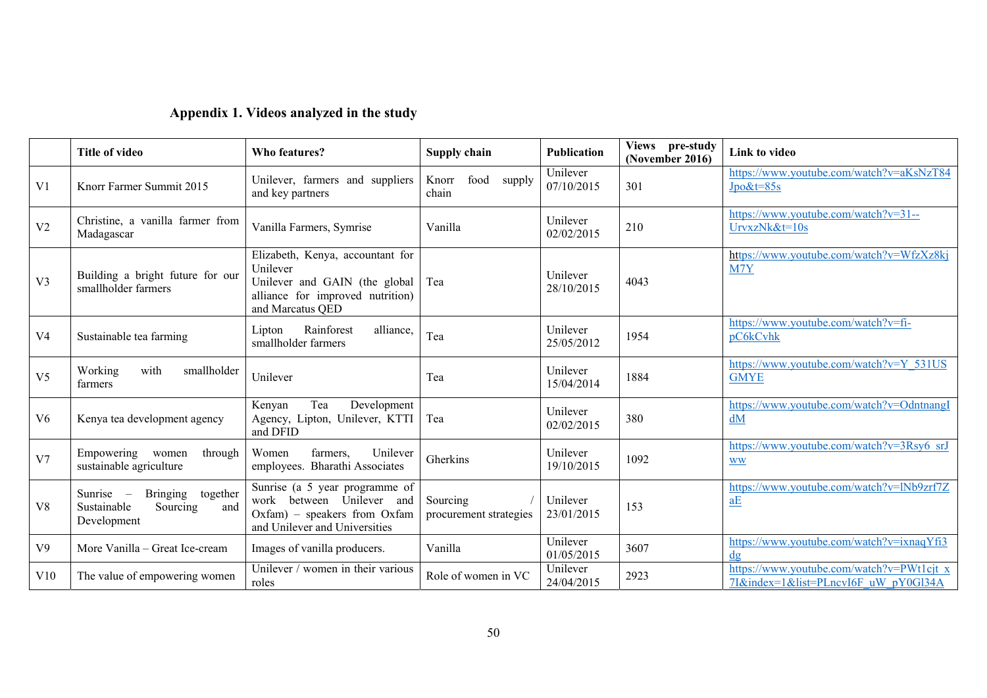| Appendix 1. Videos analyzed in the study |  |  |  |  |  |
|------------------------------------------|--|--|--|--|--|
|------------------------------------------|--|--|--|--|--|

|                | <b>Title of video</b>                                                                                       | Who features?                                                                                                                         | Supply chain                       | <b>Publication</b>     | Views pre-study<br>(November 2016) | Link to video                                                                     |
|----------------|-------------------------------------------------------------------------------------------------------------|---------------------------------------------------------------------------------------------------------------------------------------|------------------------------------|------------------------|------------------------------------|-----------------------------------------------------------------------------------|
| V <sub>1</sub> | Knorr Farmer Summit 2015                                                                                    | Unilever, farmers and suppliers<br>and key partners                                                                                   | food<br>Knorr<br>supply<br>chain   | Unilever<br>07/10/2015 | 301                                | https://www.youtube.com/watch?v=aKsNzT84<br>$Jpo&t=85s$                           |
| V <sub>2</sub> | Christine, a vanilla farmer from<br>Madagascar                                                              | Vanilla Farmers, Symrise                                                                                                              | Vanilla                            | Unilever<br>02/02/2015 | 210                                | https://www.youtube.com/watch?v=31--<br>UrvxzNk&t=10s                             |
| V <sub>3</sub> | Building a bright future for our<br>smallholder farmers                                                     | Elizabeth, Kenya, accountant for<br>Unilever<br>Unilever and GAIN (the global<br>alliance for improved nutrition)<br>and Marcatus QED | Tea                                | Unilever<br>28/10/2015 | 4043                               | https://www.youtube.com/watch?v=WfzXz8kj<br>M7Y                                   |
| V <sub>4</sub> | Sustainable tea farming                                                                                     | Rainforest<br>alliance.<br>Lipton<br>smallholder farmers                                                                              | Tea                                | Unilever<br>25/05/2012 | 1954                               | https://www.youtube.com/watch?v=fi-<br>pC6kCvhk                                   |
| V <sub>5</sub> | with<br>Working<br>smallholder<br>farmers                                                                   | Unilever                                                                                                                              | Tea                                | Unilever<br>15/04/2014 | 1884                               | https://www.youtube.com/watch?v=Y 531US<br><b>GMYE</b>                            |
| V <sub>6</sub> | Kenya tea development agency                                                                                | Tea<br>Development<br>Kenyan<br>Agency, Lipton, Unilever, KTTI<br>and DFID                                                            | Tea                                | Unilever<br>02/02/2015 | 380                                | https://www.youtube.com/watch?v=OdntnangI<br>dM                                   |
| V <sub>7</sub> | Empowering<br>women<br>through<br>sustainable agriculture                                                   | Women<br>farmers,<br>Unilever<br>employees. Bharathi Associates                                                                       | Gherkins                           | Unilever<br>19/10/2015 | 1092                               | https://www.youtube.com/watch?v=3Rsy6_srJ<br><b>WW</b>                            |
| V <sub>8</sub> | Sunrise<br><b>Bringing</b><br>together<br>$\hspace{0.1mm}$<br>Sustainable<br>Sourcing<br>and<br>Development | Sunrise (a 5 year programme of<br>work between Unilever and<br>Oxfam) - speakers from Oxfam<br>and Unilever and Universities          | Sourcing<br>procurement strategies | Unilever<br>23/01/2015 | 153                                | https://www.youtube.com/watch?v=lNb9zrf7Z<br>$\underline{a}\underline{E}$         |
| V <sub>9</sub> | More Vanilla - Great Ice-cream                                                                              | Images of vanilla producers.                                                                                                          | Vanilla                            | Unilever<br>01/05/2015 | 3607                               | https://www.youtube.com/watch?v=ixnaqYfi3<br>$d\mathbf{g}$                        |
| V10            | The value of empowering women                                                                               | Unilever / women in their various<br>roles                                                                                            | Role of women in VC                | Unilever<br>24/04/2015 | 2923                               | https://www.youtube.com/watch?v=PWt1cjt x<br>7I&index=1&list=PLncvI6F uW pY0Gl34A |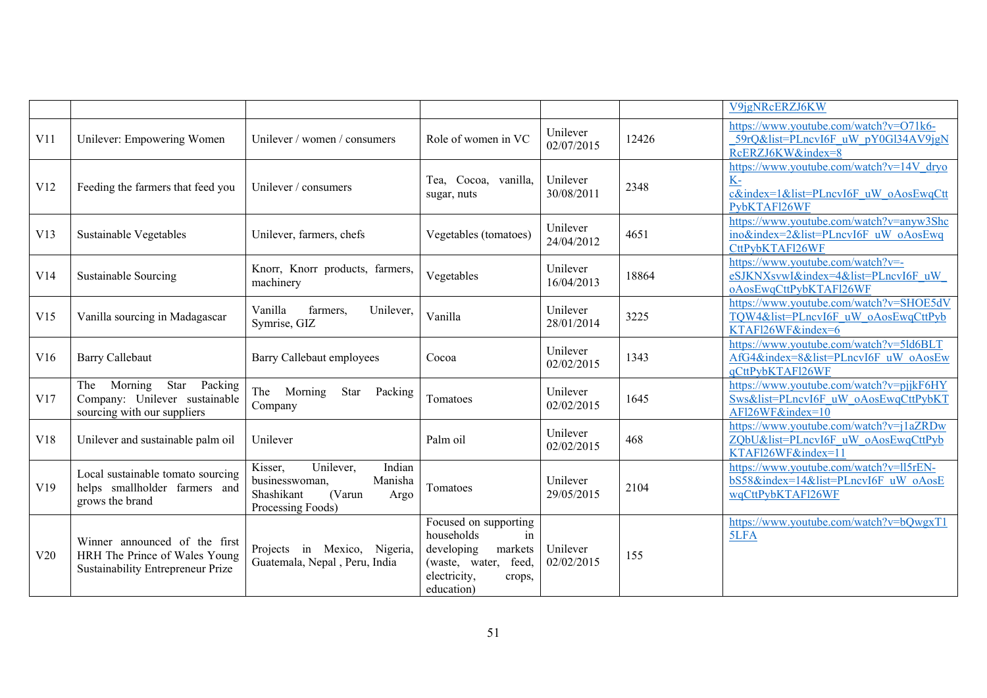|                  |                                                                                                     |                                                                                                                  |                                                                                                                                       |                        |       | V9jgNRcERZJ6KW                                                                                          |
|------------------|-----------------------------------------------------------------------------------------------------|------------------------------------------------------------------------------------------------------------------|---------------------------------------------------------------------------------------------------------------------------------------|------------------------|-------|---------------------------------------------------------------------------------------------------------|
| V <sub>1</sub> 1 | Unilever: Empowering Women                                                                          | Unilever / women / consumers                                                                                     | Role of women in VC                                                                                                                   | Unilever<br>02/07/2015 | 12426 | https://www.youtube.com/watch?v=O71k6-<br>59rQ&list=PLncvI6F uW pY0Gl34AV9jgN<br>RcERZJ6KW&index=8      |
| V12              | Feeding the farmers that feed you                                                                   | Unilever / consumers                                                                                             | Tea, Cocoa, vanilla,<br>sugar, nuts                                                                                                   | Unilever<br>30/08/2011 | 2348  | https://www.youtube.com/watch?v=14V dryo<br>K-<br>c&index=1&list=PLncvI6F uW oAosEwqCtt<br>PybKTAFl26WF |
| V13              | Sustainable Vegetables                                                                              | Unilever, farmers, chefs                                                                                         | Vegetables (tomatoes)                                                                                                                 | Unilever<br>24/04/2012 | 4651  | https://www.youtube.com/watch?v=anyw3Shc<br>ino&index=2&list=PLncvI6F uW oAosEwq<br>CttPybKTAFl26WF     |
| V14              | Sustainable Sourcing                                                                                | Knorr, Knorr products, farmers,<br>machinery                                                                     | Vegetables                                                                                                                            | Unilever<br>16/04/2013 | 18864 | https://www.youtube.com/watch?v=-<br>eSJKNXsvwI&index=4&list=PLncvI6F uW<br>oAosEwqCttPybKTAFl26WF      |
| V15              | Vanilla sourcing in Madagascar                                                                      | Vanilla<br>farmers,<br>Unilever,<br>Symrise, GIZ                                                                 | Vanilla                                                                                                                               | Unilever<br>28/01/2014 | 3225  | https://www.youtube.com/watch?v=SHOE5dV<br>TQW4&list=PLncvI6F uW oAosEwqCttPyb<br>KTAFl26WF&index=6     |
| V16              | <b>Barry Callebaut</b>                                                                              | Barry Callebaut employees                                                                                        | Cocoa                                                                                                                                 | Unilever<br>02/02/2015 | 1343  | https://www.youtube.com/watch?v=5ld6BLT<br>AfG4&index=8&list=PLncvI6F uW oAosEw<br>qCttPybKTAFl26WF     |
| V17              | Star Packing<br>Morning<br>The<br>Company: Unilever sustainable<br>sourcing with our suppliers      | The Morning<br>Star<br>Packing<br>Company                                                                        | Tomatoes                                                                                                                              | Unilever<br>02/02/2015 | 1645  | https://www.youtube.com/watch?v=pjjkF6HY<br>Sws&list=PLncvI6F uW oAosEwqCttPybKT<br>AFl26WF&index=10    |
| V18              | Unilever and sustainable palm oil                                                                   | Unilever                                                                                                         | Palm oil                                                                                                                              | Unilever<br>02/02/2015 | 468   | https://www.youtube.com/watch?v=j1aZRDw<br>ZQbU&list=PLncvI6F uW oAosEwqCttPyb<br>KTAFl26WF&index=11    |
| V19              | Local sustainable tomato sourcing<br>helps smallholder farmers and<br>grows the brand               | Unilever,<br>Indian<br>Kisser,<br>Manisha<br>businesswoman,<br>Shashikant<br>(Varun<br>Argo<br>Processing Foods) | Tomatoes                                                                                                                              | Unilever<br>29/05/2015 | 2104  | https://www.youtube.com/watch?v=ll5rEN-<br>bS58&index=14&list=PLncvI6F uW oAosE<br>wqCttPybKTAFl26WF    |
| V20              | Winner announced of the first<br>HRH The Prince of Wales Young<br>Sustainability Entrepreneur Prize | Projects in Mexico, Nigeria,<br>Guatemala, Nepal, Peru, India                                                    | Focused on supporting<br>households<br>in<br>developing<br>markets<br>feed,<br>(waste, water,<br>electricity,<br>crops,<br>education) | Unilever<br>02/02/2015 | 155   | https://www.youtube.com/watch?v=bQwgxT1<br>5LFA                                                         |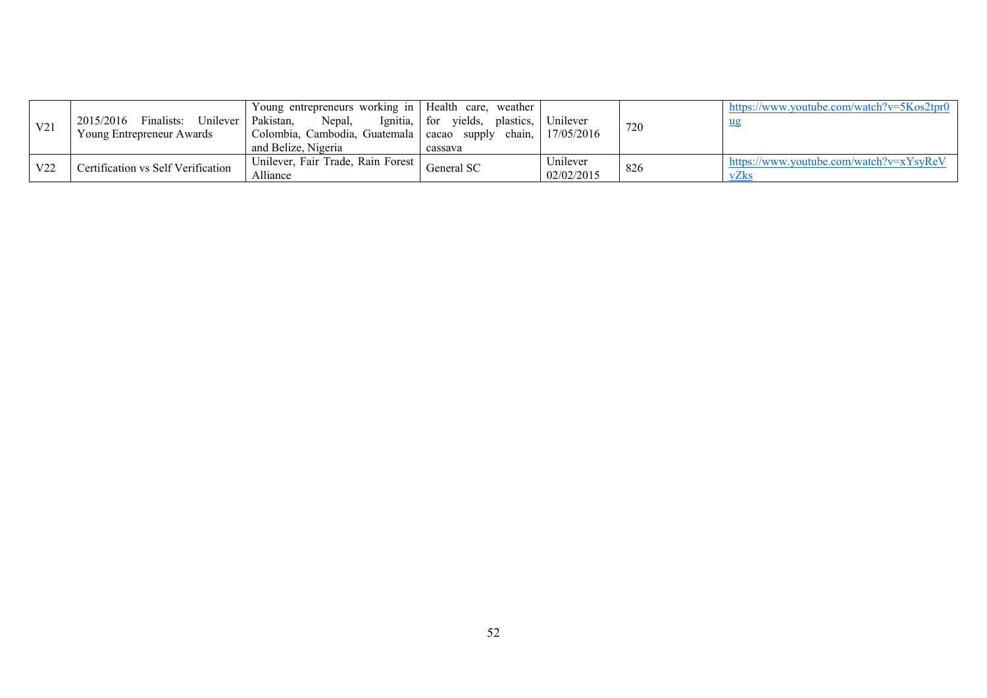| V <sub>21</sub> | 2015/2016<br>Unilever   Pakistan,<br>Finalists:<br>Young Entrepreneur Awards | Young entrepreneurs working in   Health care,<br>Ignitia, $\vert$ for<br>Nepal,<br>  Colombia, Cambodia, Guatemala   cacao supply<br>and Belize, Nigeria | weather<br>yields,<br>plastics, 1<br>chain.<br>cassava | Unilever<br>17/05/2016 | 720 | https://www.youtube.com/watch?v=5Kos2tpr0       |
|-----------------|------------------------------------------------------------------------------|----------------------------------------------------------------------------------------------------------------------------------------------------------|--------------------------------------------------------|------------------------|-----|-------------------------------------------------|
| V <sub>22</sub> | Certification vs Self Verification                                           | Unilever, Fair Trade, Rain Forest<br>Alliance                                                                                                            | General SC                                             | Unilever<br>02/02/2015 | 826 | https://www.youtube.com/watch?v=xYsyReV<br>vZks |